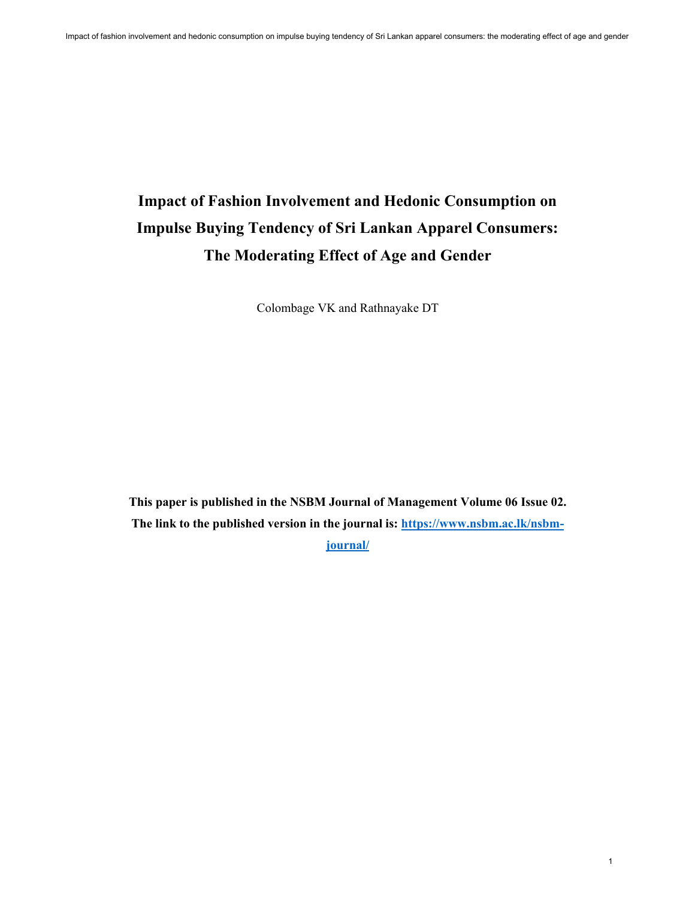# **Impact of Fashion Involvement and Hedonic Consumption on Impulse Buying Tendency of Sri Lankan Apparel Consumers: The Moderating Effect of Age and Gender**

Colombage VK and Rathnayake DT

**This paper is published in the NSBM Journal of Management Volume 06 Issue 02. The link to the published version in the journal is: [https://www.nsbm.ac.lk/nsbm](https://www.nsbm.ac.lk/nsbm-journal/)[journal/](https://www.nsbm.ac.lk/nsbm-journal/)**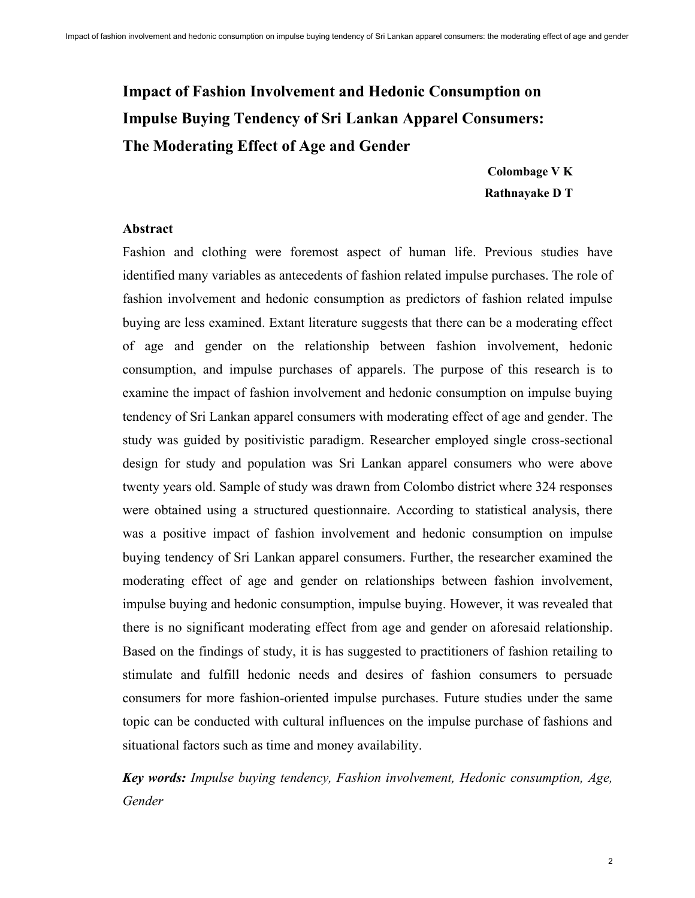# **Impact of Fashion Involvement and Hedonic Consumption on Impulse Buying Tendency of Sri Lankan Apparel Consumers: The Moderating Effect of Age and Gender**

**Colombage V K Rathnayake D T**

#### **Abstract**

Fashion and clothing were foremost aspect of human life. Previous studies have identified many variables as antecedents of fashion related impulse purchases. The role of fashion involvement and hedonic consumption as predictors of fashion related impulse buying are less examined. Extant literature suggests that there can be a moderating effect of age and gender on the relationship between fashion involvement, hedonic consumption, and impulse purchases of apparels. The purpose of this research is to examine the impact of fashion involvement and hedonic consumption on impulse buying tendency of Sri Lankan apparel consumers with moderating effect of age and gender. The study was guided by positivistic paradigm. Researcher employed single cross-sectional design for study and population was Sri Lankan apparel consumers who were above twenty years old. Sample of study was drawn from Colombo district where 324 responses were obtained using a structured questionnaire. According to statistical analysis, there was a positive impact of fashion involvement and hedonic consumption on impulse buying tendency of Sri Lankan apparel consumers. Further, the researcher examined the moderating effect of age and gender on relationships between fashion involvement, impulse buying and hedonic consumption, impulse buying. However, it was revealed that there is no significant moderating effect from age and gender on aforesaid relationship. Based on the findings of study, it is has suggested to practitioners of fashion retailing to stimulate and fulfill hedonic needs and desires of fashion consumers to persuade consumers for more fashion-oriented impulse purchases. Future studies under the same topic can be conducted with cultural influences on the impulse purchase of fashions and situational factors such as time and money availability.

*Key words: Impulse buying tendency, Fashion involvement, Hedonic consumption, Age, Gender*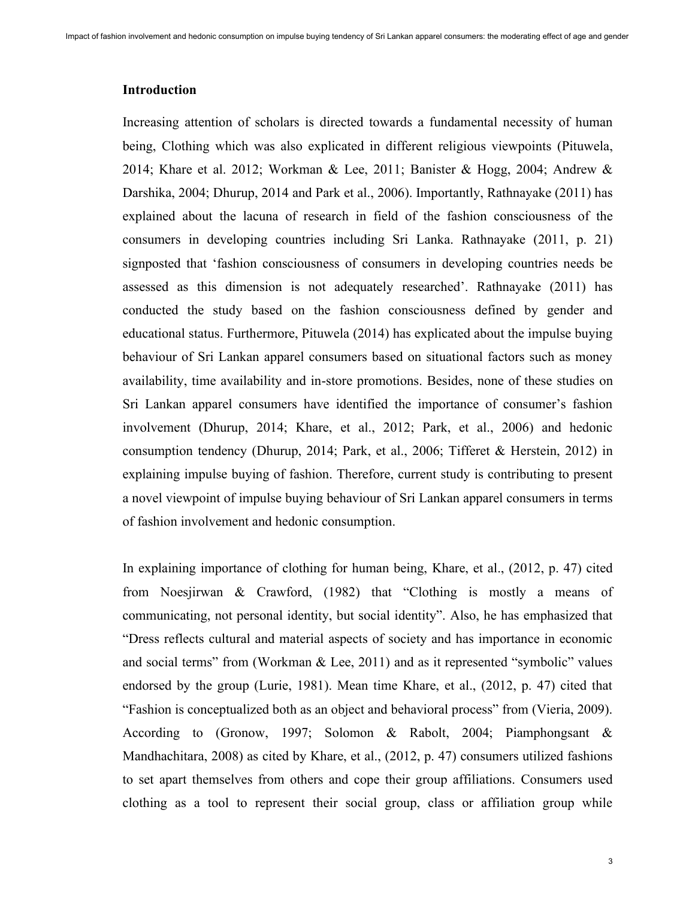#### **Introduction**

Increasing attention of scholars is directed towards a fundamental necessity of human being, Clothing which was also explicated in different religious viewpoints (Pituwela, 2014; Khare et al. 2012; Workman & Lee, 2011; Banister & Hogg, 2004; Andrew & Darshika, 2004; Dhurup, 2014 and Park et al., 2006). Importantly, Rathnayake (2011) has explained about the lacuna of research in field of the fashion consciousness of the consumers in developing countries including Sri Lanka. Rathnayake (2011, p. 21) signposted that 'fashion consciousness of consumers in developing countries needs be assessed as this dimension is not adequately researched'. Rathnayake (2011) has conducted the study based on the fashion consciousness defined by gender and educational status. Furthermore, Pituwela (2014) has explicated about the impulse buying behaviour of Sri Lankan apparel consumers based on situational factors such as money availability, time availability and in-store promotions. Besides, none of these studies on Sri Lankan apparel consumers have identified the importance of consumer's fashion involvement (Dhurup, 2014; Khare, et al., 2012; Park, et al., 2006) and hedonic consumption tendency (Dhurup, 2014; Park, et al., 2006; Tifferet & Herstein, 2012) in explaining impulse buying of fashion. Therefore, current study is contributing to present a novel viewpoint of impulse buying behaviour of Sri Lankan apparel consumers in terms of fashion involvement and hedonic consumption.

In explaining importance of clothing for human being, Khare, et al., (2012, p. 47) cited from Noesjirwan & Crawford, (1982) that "Clothing is mostly a means of communicating, not personal identity, but social identity". Also, he has emphasized that "Dress reflects cultural and material aspects of society and has importance in economic and social terms" from (Workman & Lee, 2011) and as it represented "symbolic" values endorsed by the group (Lurie, 1981). Mean time Khare, et al., (2012, p. 47) cited that "Fashion is conceptualized both as an object and behavioral process" from (Vieria, 2009). According to (Gronow, 1997; Solomon & Rabolt, 2004; Piamphongsant & Mandhachitara, 2008) as cited by Khare, et al., (2012, p. 47) consumers utilized fashions to set apart themselves from others and cope their group affiliations. Consumers used clothing as a tool to represent their social group, class or affiliation group while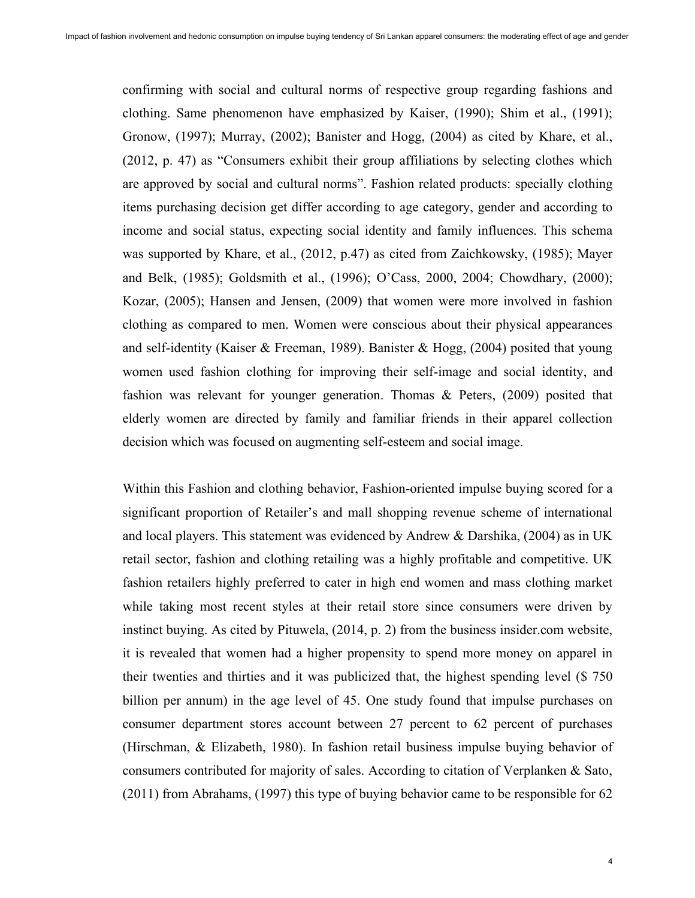confirming with social and cultural norms of respective group regarding fashions and clothing. Same phenomenon have emphasized by Kaiser, (1990); Shim et al., (1991); Gronow, (1997); Murray, (2002); Banister and Hogg, (2004) as cited by Khare, et al., (2012, p. 47) as "Consumers exhibit their group affiliations by selecting clothes which are approved by social and cultural norms". Fashion related products: specially clothing items purchasing decision get differ according to age category, gender and according to income and social status, expecting social identity and family influences. This schema was supported by Khare, et al., (2012, p.47) as cited from Zaichkowsky, (1985); Mayer and Belk, (1985); Goldsmith et al., (1996); O'Cass, 2000, 2004; Chowdhary, (2000); Kozar, (2005); Hansen and Jensen, (2009) that women were more involved in fashion clothing as compared to men. Women were conscious about their physical appearances and self-identity (Kaiser & Freeman, 1989). Banister & Hogg,  $(2004)$  posited that young women used fashion clothing for improving their self-image and social identity, and fashion was relevant for younger generation. Thomas & Peters, (2009) posited that elderly women are directed by family and familiar friends in their apparel collection decision which was focused on augmenting self-esteem and social image.

Within this Fashion and clothing behavior, Fashion-oriented impulse buying scored for a significant proportion of Retailer's and mall shopping revenue scheme of international and local players. This statement was evidenced by Andrew & Darshika, (2004) as in UK retail sector, fashion and clothing retailing was a highly profitable and competitive. UK fashion retailers highly preferred to cater in high end women and mass clothing market while taking most recent styles at their retail store since consumers were driven by instinct buying. As cited by Pituwela, (2014, p. 2) from the business insider.com website, it is revealed that women had a higher propensity to spend more money on apparel in their twenties and thirties and it was publicized that, the highest spending level (\$ 750 billion per annum) in the age level of 45. One study found that impulse purchases on consumer department stores account between 27 percent to 62 percent of purchases (Hirschman, & Elizabeth, 1980). In fashion retail business impulse buying behavior of consumers contributed for majority of sales. According to citation of Verplanken & Sato, (2011) from Abrahams, (1997) this type of buying behavior came to be responsible for 62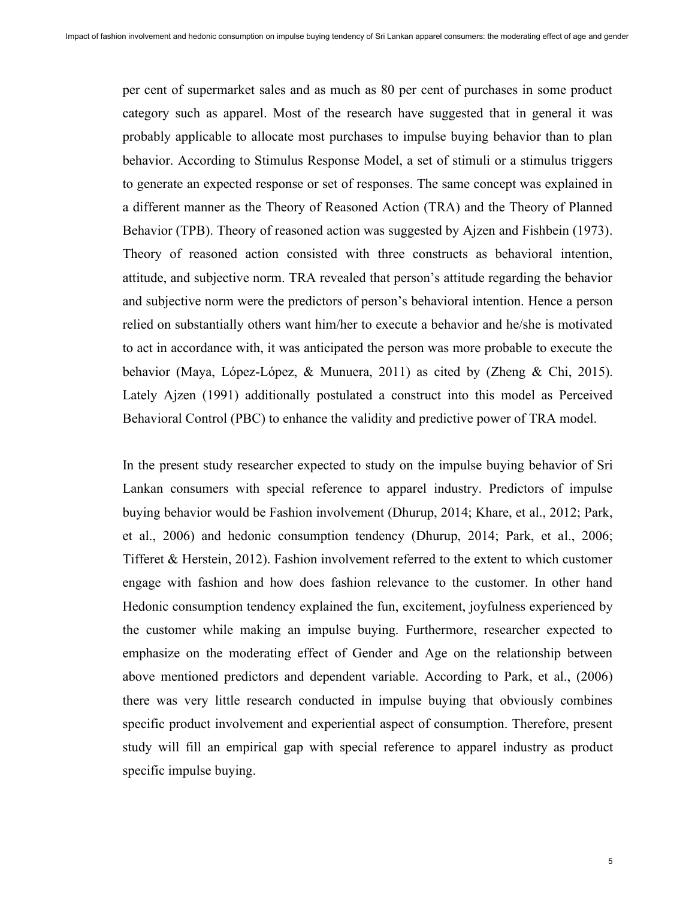per cent of supermarket sales and as much as 80 per cent of purchases in some product category such as apparel. Most of the research have suggested that in general it was probably applicable to allocate most purchases to impulse buying behavior than to plan behavior. According to Stimulus Response Model, a set of stimuli or a stimulus triggers to generate an expected response or set of responses. The same concept was explained in a different manner as the Theory of Reasoned Action (TRA) and the Theory of Planned Behavior (TPB). Theory of reasoned action was suggested by Ajzen and Fishbein (1973). Theory of reasoned action consisted with three constructs as behavioral intention, attitude, and subjective norm. TRA revealed that person's attitude regarding the behavior and subjective norm were the predictors of person's behavioral intention. Hence a person relied on substantially others want him/her to execute a behavior and he/she is motivated to act in accordance with, it was anticipated the person was more probable to execute the behavior (Maya, López-López, & Munuera, 2011) as cited by (Zheng & Chi, 2015). Lately Ajzen (1991) additionally postulated a construct into this model as Perceived Behavioral Control (PBC) to enhance the validity and predictive power of TRA model.

In the present study researcher expected to study on the impulse buying behavior of Sri Lankan consumers with special reference to apparel industry. Predictors of impulse buying behavior would be Fashion involvement (Dhurup, 2014; Khare, et al., 2012; Park, et al., 2006) and hedonic consumption tendency (Dhurup, 2014; Park, et al., 2006; Tifferet & Herstein, 2012). Fashion involvement referred to the extent to which customer engage with fashion and how does fashion relevance to the customer. In other hand Hedonic consumption tendency explained the fun, excitement, joyfulness experienced by the customer while making an impulse buying. Furthermore, researcher expected to emphasize on the moderating effect of Gender and Age on the relationship between above mentioned predictors and dependent variable. According to Park, et al., (2006) there was very little research conducted in impulse buying that obviously combines specific product involvement and experiential aspect of consumption. Therefore, present study will fill an empirical gap with special reference to apparel industry as product specific impulse buying.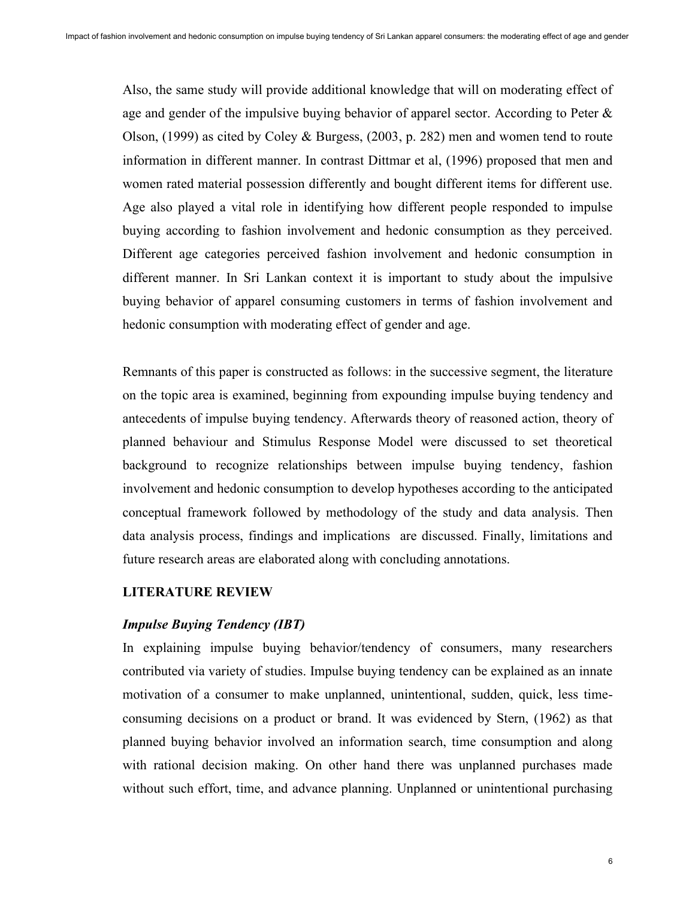Also, the same study will provide additional knowledge that will on moderating effect of age and gender of the impulsive buying behavior of apparel sector. According to Peter  $\&$ Olson, (1999) as cited by Coley & Burgess, (2003, p. 282) men and women tend to route information in different manner. In contrast Dittmar et al, (1996) proposed that men and women rated material possession differently and bought different items for different use. Age also played a vital role in identifying how different people responded to impulse buying according to fashion involvement and hedonic consumption as they perceived. Different age categories perceived fashion involvement and hedonic consumption in different manner. In Sri Lankan context it is important to study about the impulsive buying behavior of apparel consuming customers in terms of fashion involvement and hedonic consumption with moderating effect of gender and age.

Remnants of this paper is constructed as follows: in the successive segment, the literature on the topic area is examined, beginning from expounding impulse buying tendency and antecedents of impulse buying tendency. Afterwards theory of reasoned action, theory of planned behaviour and Stimulus Response Model were discussed to set theoretical background to recognize relationships between impulse buying tendency, fashion involvement and hedonic consumption to develop hypotheses according to the anticipated conceptual framework followed by methodology of the study and data analysis. Then data analysis process, findings and implications are discussed. Finally, limitations and future research areas are elaborated along with concluding annotations.

## **LITERATURE REVIEW**

# *Impulse Buying Tendency (IBT)*

In explaining impulse buying behavior/tendency of consumers, many researchers contributed via variety of studies. Impulse buying tendency can be explained as an innate motivation of a consumer to make unplanned, unintentional, sudden, quick, less timeconsuming decisions on a product or brand. It was evidenced by Stern, (1962) as that planned buying behavior involved an information search, time consumption and along with rational decision making. On other hand there was unplanned purchases made without such effort, time, and advance planning. Unplanned or unintentional purchasing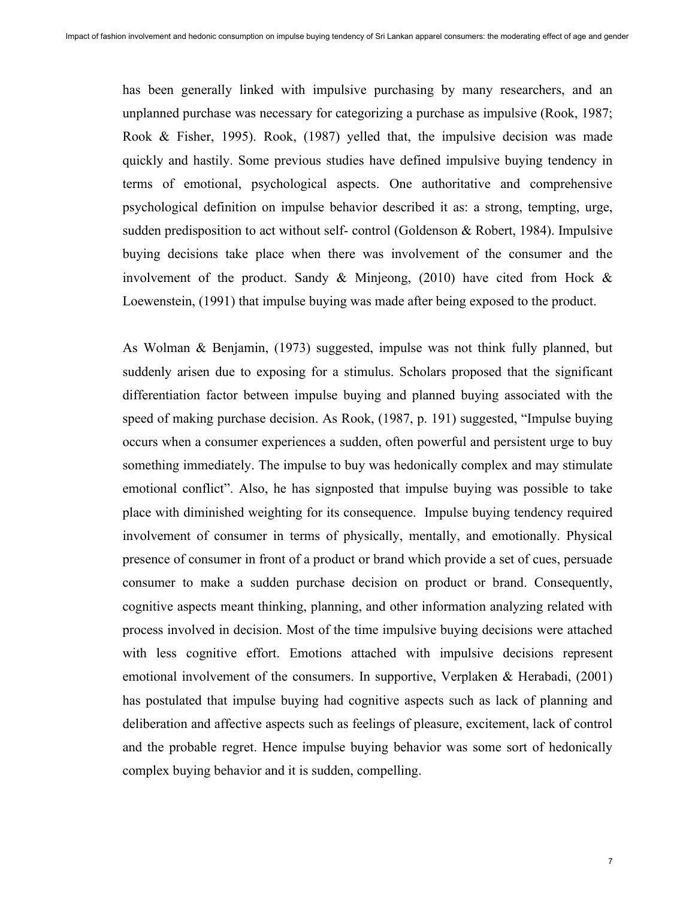has been generally linked with impulsive purchasing by many researchers, and an unplanned purchase was necessary for categorizing a purchase as impulsive (Rook, 1987; Rook & Fisher, 1995). Rook, (1987) yelled that, the impulsive decision was made quickly and hastily. Some previous studies have defined impulsive buying tendency in terms of emotional, psychological aspects. One authoritative and comprehensive psychological definition on impulse behavior described it as: a strong, tempting, urge, sudden predisposition to act without self- control (Goldenson & Robert, 1984). Impulsive buying decisions take place when there was involvement of the consumer and the involvement of the product. Sandy & Minjeong, (2010) have cited from Hock & Loewenstein, (1991) that impulse buying was made after being exposed to the product.

As Wolman & Benjamin, (1973) suggested, impulse was not think fully planned, but suddenly arisen due to exposing for a stimulus. Scholars proposed that the significant differentiation factor between impulse buying and planned buying associated with the speed of making purchase decision. As Rook, (1987, p. 191) suggested, "Impulse buying occurs when a consumer experiences a sudden, often powerful and persistent urge to buy something immediately. The impulse to buy was hedonically complex and may stimulate emotional conflict". Also, he has signposted that impulse buying was possible to take place with diminished weighting for its consequence. Impulse buying tendency required involvement of consumer in terms of physically, mentally, and emotionally. Physical presence of consumer in front of a product or brand which provide a set of cues, persuade consumer to make a sudden purchase decision on product or brand. Consequently, cognitive aspects meant thinking, planning, and other information analyzing related with process involved in decision. Most of the time impulsive buying decisions were attached with less cognitive effort. Emotions attached with impulsive decisions represent emotional involvement of the consumers. In supportive, Verplaken & Herabadi, (2001) has postulated that impulse buying had cognitive aspects such as lack of planning and deliberation and affective aspects such as feelings of pleasure, excitement, lack of control and the probable regret. Hence impulse buying behavior was some sort of hedonically complex buying behavior and it is sudden, compelling.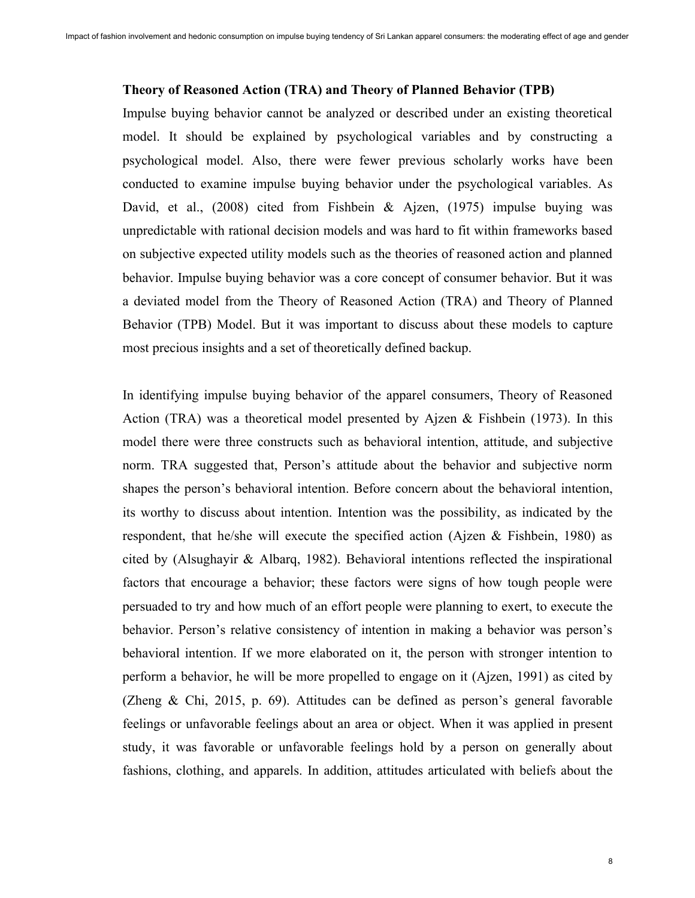## **Theory of Reasoned Action (TRA) and Theory of Planned Behavior (TPB)**

Impulse buying behavior cannot be analyzed or described under an existing theoretical model. It should be explained by psychological variables and by constructing a psychological model. Also, there were fewer previous scholarly works have been conducted to examine impulse buying behavior under the psychological variables. As David, et al., (2008) cited from Fishbein & Ajzen, (1975) impulse buying was unpredictable with rational decision models and was hard to fit within frameworks based on subjective expected utility models such as the theories of reasoned action and planned behavior. Impulse buying behavior was a core concept of consumer behavior. But it was a deviated model from the Theory of Reasoned Action (TRA) and Theory of Planned Behavior (TPB) Model. But it was important to discuss about these models to capture most precious insights and a set of theoretically defined backup.

In identifying impulse buying behavior of the apparel consumers, Theory of Reasoned Action (TRA) was a theoretical model presented by Ajzen & Fishbein (1973). In this model there were three constructs such as behavioral intention, attitude, and subjective norm. TRA suggested that, Person's attitude about the behavior and subjective norm shapes the person's behavioral intention. Before concern about the behavioral intention, its worthy to discuss about intention. Intention was the possibility, as indicated by the respondent, that he/she will execute the specified action (Ajzen & Fishbein, 1980) as cited by (Alsughayir & Albarq, 1982). Behavioral intentions reflected the inspirational factors that encourage a behavior; these factors were signs of how tough people were persuaded to try and how much of an effort people were planning to exert, to execute the behavior. Person's relative consistency of intention in making a behavior was person's behavioral intention. If we more elaborated on it, the person with stronger intention to perform a behavior, he will be more propelled to engage on it (Ajzen, 1991) as cited by (Zheng & Chi, 2015, p. 69). Attitudes can be defined as person's general favorable feelings or unfavorable feelings about an area or object. When it was applied in present study, it was favorable or unfavorable feelings hold by a person on generally about fashions, clothing, and apparels. In addition, attitudes articulated with beliefs about the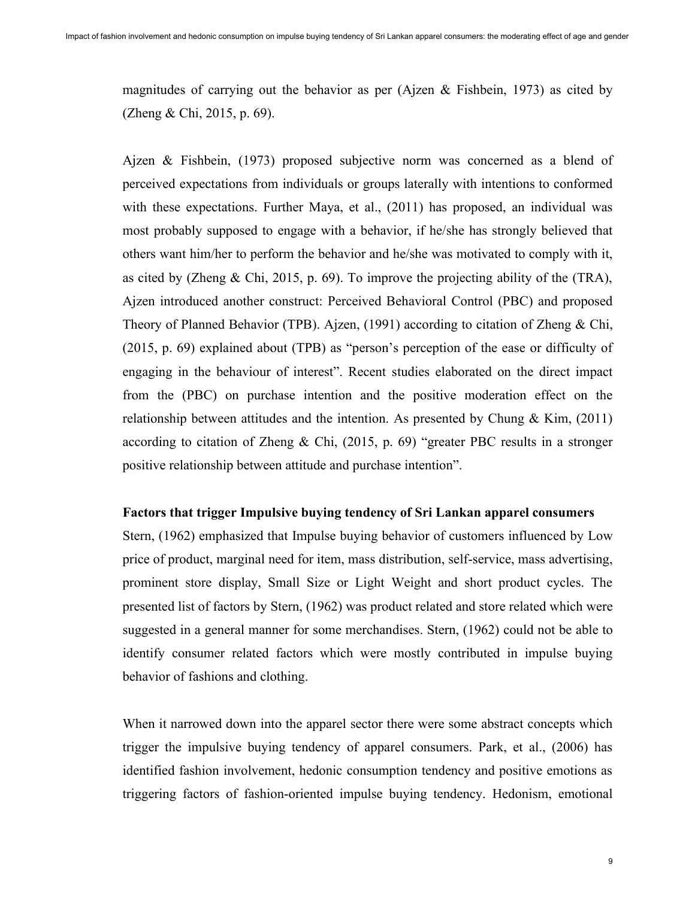magnitudes of carrying out the behavior as per (Ajzen & Fishbein, 1973) as cited by (Zheng & Chi, 2015, p. 69).

Ajzen & Fishbein, (1973) proposed subjective norm was concerned as a blend of perceived expectations from individuals or groups laterally with intentions to conformed with these expectations. Further Maya, et al., (2011) has proposed, an individual was most probably supposed to engage with a behavior, if he/she has strongly believed that others want him/her to perform the behavior and he/she was motivated to comply with it, as cited by (Zheng & Chi, 2015, p. 69). To improve the projecting ability of the (TRA), Ajzen introduced another construct: Perceived Behavioral Control (PBC) and proposed Theory of Planned Behavior (TPB). Ajzen, (1991) according to citation of Zheng & Chi, (2015, p. 69) explained about (TPB) as "person's perception of the ease or difficulty of engaging in the behaviour of interest". Recent studies elaborated on the direct impact from the (PBC) on purchase intention and the positive moderation effect on the relationship between attitudes and the intention. As presented by Chung  $\&$  Kim, (2011) according to citation of Zheng & Chi, (2015, p. 69) "greater PBC results in a stronger positive relationship between attitude and purchase intention".

#### **Factors that trigger Impulsive buying tendency of Sri Lankan apparel consumers**

Stern, (1962) emphasized that Impulse buying behavior of customers influenced by Low price of product, marginal need for item, mass distribution, self-service, mass advertising, prominent store display, Small Size or Light Weight and short product cycles. The presented list of factors by Stern, (1962) was product related and store related which were suggested in a general manner for some merchandises. Stern, (1962) could not be able to identify consumer related factors which were mostly contributed in impulse buying behavior of fashions and clothing.

When it narrowed down into the apparel sector there were some abstract concepts which trigger the impulsive buying tendency of apparel consumers. Park, et al., (2006) has identified fashion involvement, hedonic consumption tendency and positive emotions as triggering factors of fashion-oriented impulse buying tendency. Hedonism, emotional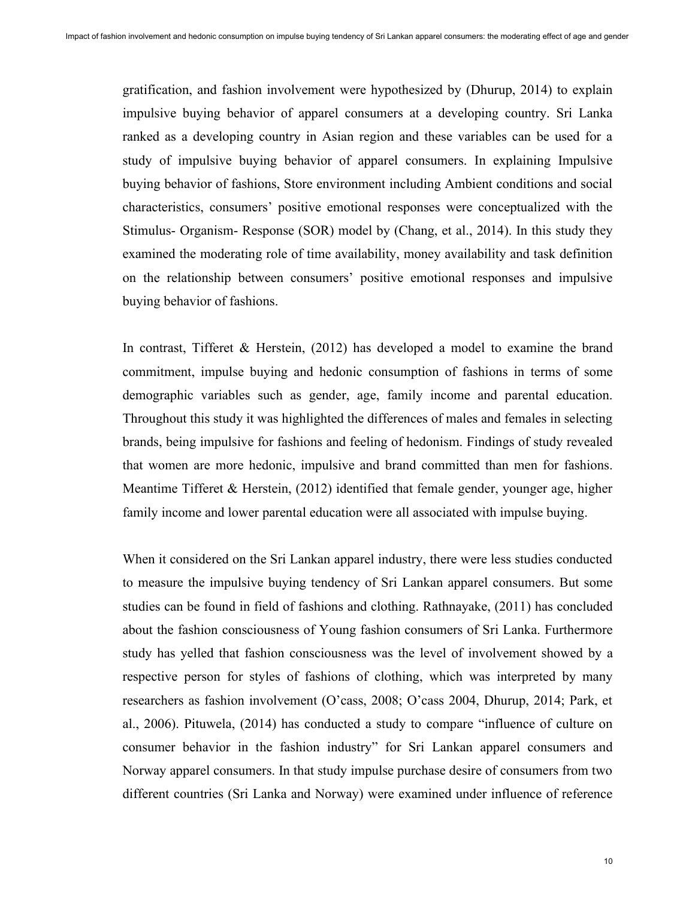gratification, and fashion involvement were hypothesized by (Dhurup, 2014) to explain impulsive buying behavior of apparel consumers at a developing country. Sri Lanka ranked as a developing country in Asian region and these variables can be used for a study of impulsive buying behavior of apparel consumers. In explaining Impulsive buying behavior of fashions, Store environment including Ambient conditions and social characteristics, consumers' positive emotional responses were conceptualized with the Stimulus- Organism- Response (SOR) model by (Chang, et al., 2014). In this study they examined the moderating role of time availability, money availability and task definition on the relationship between consumers' positive emotional responses and impulsive buying behavior of fashions.

In contrast, Tifferet & Herstein, (2012) has developed a model to examine the brand commitment, impulse buying and hedonic consumption of fashions in terms of some demographic variables such as gender, age, family income and parental education. Throughout this study it was highlighted the differences of males and females in selecting brands, being impulsive for fashions and feeling of hedonism. Findings of study revealed that women are more hedonic, impulsive and brand committed than men for fashions. Meantime Tifferet & Herstein, (2012) identified that female gender, younger age, higher family income and lower parental education were all associated with impulse buying.

When it considered on the Sri Lankan apparel industry, there were less studies conducted to measure the impulsive buying tendency of Sri Lankan apparel consumers. But some studies can be found in field of fashions and clothing. Rathnayake, (2011) has concluded about the fashion consciousness of Young fashion consumers of Sri Lanka. Furthermore study has yelled that fashion consciousness was the level of involvement showed by a respective person for styles of fashions of clothing, which was interpreted by many researchers as fashion involvement (O'cass, 2008; O'cass 2004, Dhurup, 2014; Park, et al., 2006). Pituwela, (2014) has conducted a study to compare "influence of culture on consumer behavior in the fashion industry" for Sri Lankan apparel consumers and Norway apparel consumers. In that study impulse purchase desire of consumers from two different countries (Sri Lanka and Norway) were examined under influence of reference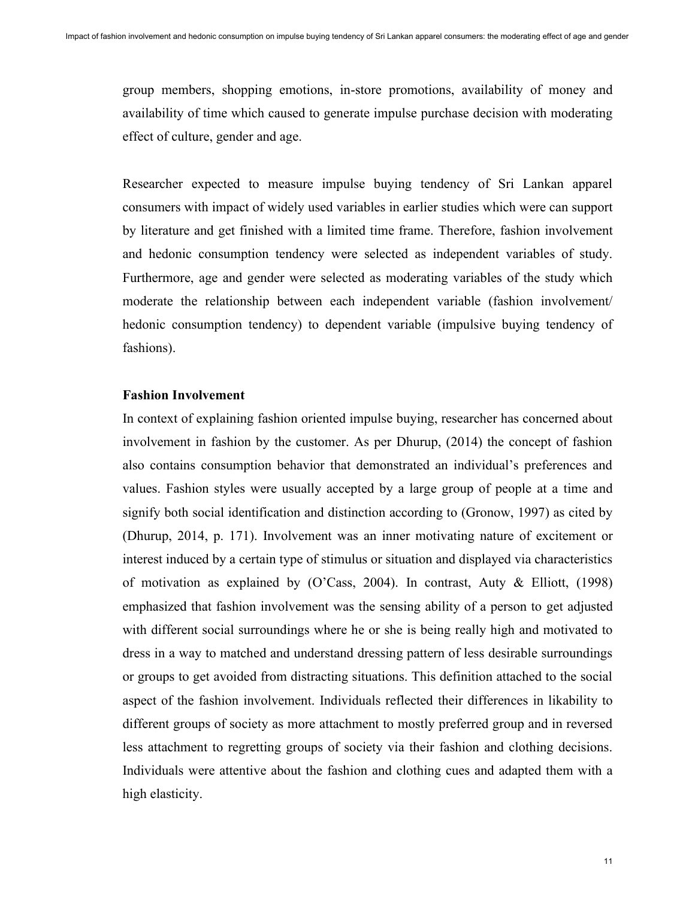group members, shopping emotions, in-store promotions, availability of money and availability of time which caused to generate impulse purchase decision with moderating effect of culture, gender and age.

Researcher expected to measure impulse buying tendency of Sri Lankan apparel consumers with impact of widely used variables in earlier studies which were can support by literature and get finished with a limited time frame. Therefore, fashion involvement and hedonic consumption tendency were selected as independent variables of study. Furthermore, age and gender were selected as moderating variables of the study which moderate the relationship between each independent variable (fashion involvement/ hedonic consumption tendency) to dependent variable (impulsive buying tendency of fashions).

## **Fashion Involvement**

In context of explaining fashion oriented impulse buying, researcher has concerned about involvement in fashion by the customer. As per Dhurup, (2014) the concept of fashion also contains consumption behavior that demonstrated an individual's preferences and values. Fashion styles were usually accepted by a large group of people at a time and signify both social identification and distinction according to (Gronow, 1997) as cited by (Dhurup, 2014, p. 171). Involvement was an inner motivating nature of excitement or interest induced by a certain type of stimulus or situation and displayed via characteristics of motivation as explained by (O'Cass, 2004). In contrast, Auty & Elliott,  $(1998)$ emphasized that fashion involvement was the sensing ability of a person to get adjusted with different social surroundings where he or she is being really high and motivated to dress in a way to matched and understand dressing pattern of less desirable surroundings or groups to get avoided from distracting situations. This definition attached to the social aspect of the fashion involvement. Individuals reflected their differences in likability to different groups of society as more attachment to mostly preferred group and in reversed less attachment to regretting groups of society via their fashion and clothing decisions. Individuals were attentive about the fashion and clothing cues and adapted them with a high elasticity.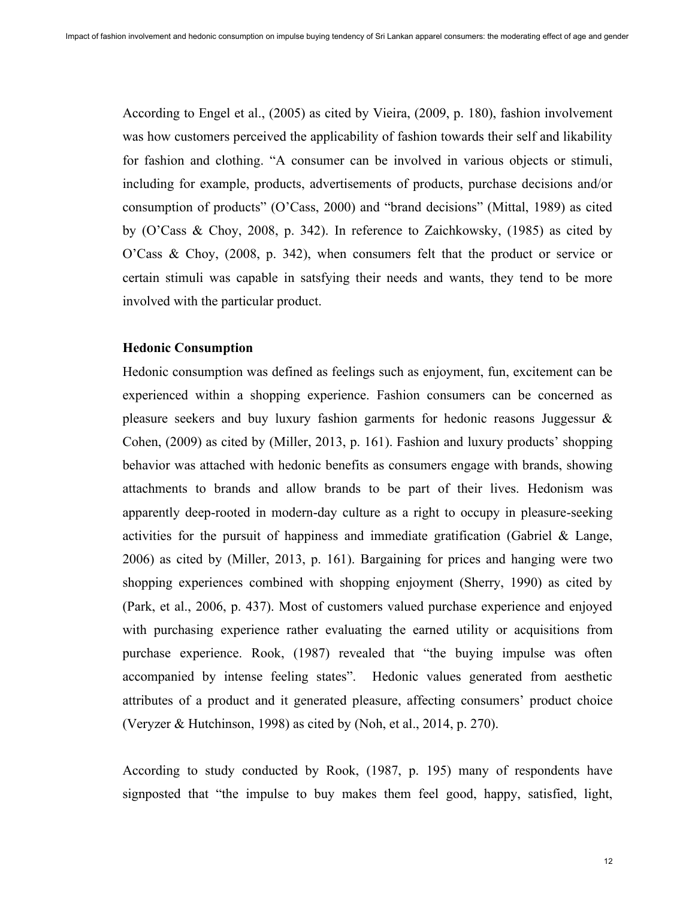According to Engel et al., (2005) as cited by Vieira, (2009, p. 180), fashion involvement was how customers perceived the applicability of fashion towards their self and likability for fashion and clothing. "A consumer can be involved in various objects or stimuli, including for example, products, advertisements of products, purchase decisions and/or consumption of products" (O'Cass, 2000) and "brand decisions" (Mittal, 1989) as cited by (O'Cass & Choy, 2008, p. 342). In reference to Zaichkowsky, (1985) as cited by O'Cass & Choy, (2008, p. 342), when consumers felt that the product or service or certain stimuli was capable in satsfying their needs and wants, they tend to be more involved with the particular product.

#### **Hedonic Consumption**

Hedonic consumption was defined as feelings such as enjoyment, fun, excitement can be experienced within a shopping experience. Fashion consumers can be concerned as pleasure seekers and buy luxury fashion garments for hedonic reasons Juggessur & Cohen, (2009) as cited by (Miller, 2013, p. 161). Fashion and luxury products' shopping behavior was attached with hedonic benefits as consumers engage with brands, showing attachments to brands and allow brands to be part of their lives. Hedonism was apparently deep-rooted in modern-day culture as a right to occupy in pleasure-seeking activities for the pursuit of happiness and immediate gratification (Gabriel & Lange, 2006) as cited by (Miller, 2013, p. 161). Bargaining for prices and hanging were two shopping experiences combined with shopping enjoyment (Sherry, 1990) as cited by (Park, et al., 2006, p. 437). Most of customers valued purchase experience and enjoyed with purchasing experience rather evaluating the earned utility or acquisitions from purchase experience. Rook, (1987) revealed that "the buying impulse was often accompanied by intense feeling states". Hedonic values generated from aesthetic attributes of a product and it generated pleasure, affecting consumers' product choice (Veryzer & Hutchinson, 1998) as cited by (Noh, et al., 2014, p. 270).

According to study conducted by Rook, (1987, p. 195) many of respondents have signposted that "the impulse to buy makes them feel good, happy, satisfied, light,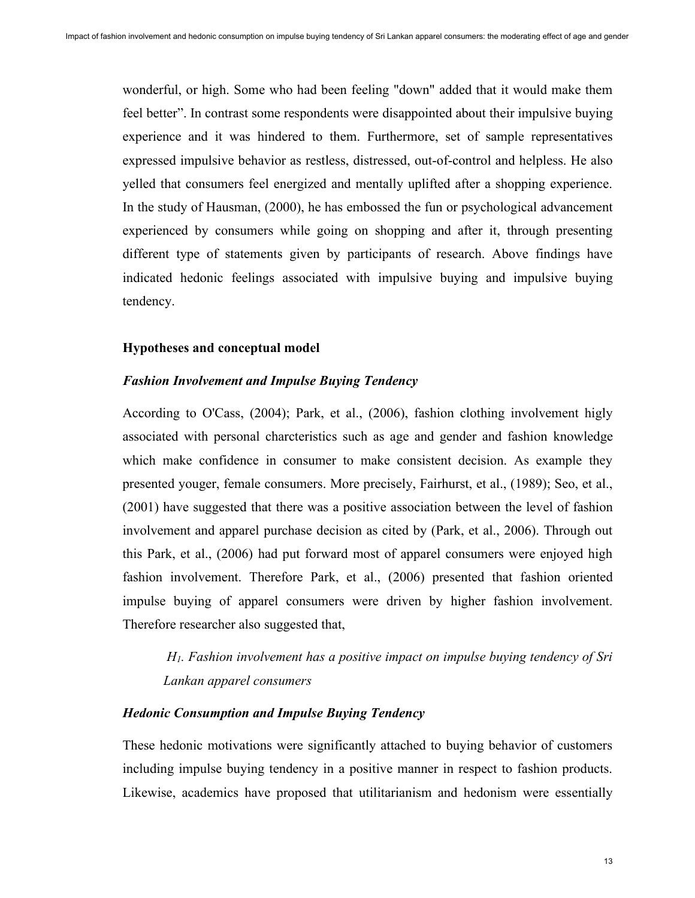wonderful, or high. Some who had been feeling "down" added that it would make them feel better". In contrast some respondents were disappointed about their impulsive buying experience and it was hindered to them. Furthermore, set of sample representatives expressed impulsive behavior as restless, distressed, out-of-control and helpless. He also yelled that consumers feel energized and mentally uplifted after a shopping experience. In the study of Hausman, (2000), he has embossed the fun or psychological advancement experienced by consumers while going on shopping and after it, through presenting different type of statements given by participants of research. Above findings have indicated hedonic feelings associated with impulsive buying and impulsive buying tendency.

#### **Hypotheses and conceptual model**

## *Fashion Involvement and Impulse Buying Tendency*

According to O'Cass, (2004); Park, et al., (2006), fashion clothing involvement higly associated with personal charcteristics such as age and gender and fashion knowledge which make confidence in consumer to make consistent decision. As example they presented youger, female consumers. More precisely, Fairhurst, et al., (1989); Seo, et al., (2001) have suggested that there was a positive association between the level of fashion involvement and apparel purchase decision as cited by (Park, et al., 2006). Through out this Park, et al., (2006) had put forward most of apparel consumers were enjoyed high fashion involvement. Therefore Park, et al., (2006) presented that fashion oriented impulse buying of apparel consumers were driven by higher fashion involvement. Therefore researcher also suggested that,

*H1. Fashion involvement has a positive impact on impulse buying tendency of Sri Lankan apparel consumers*

## *Hedonic Consumption and Impulse Buying Tendency*

These hedonic motivations were significantly attached to buying behavior of customers including impulse buying tendency in a positive manner in respect to fashion products. Likewise, academics have proposed that utilitarianism and hedonism were essentially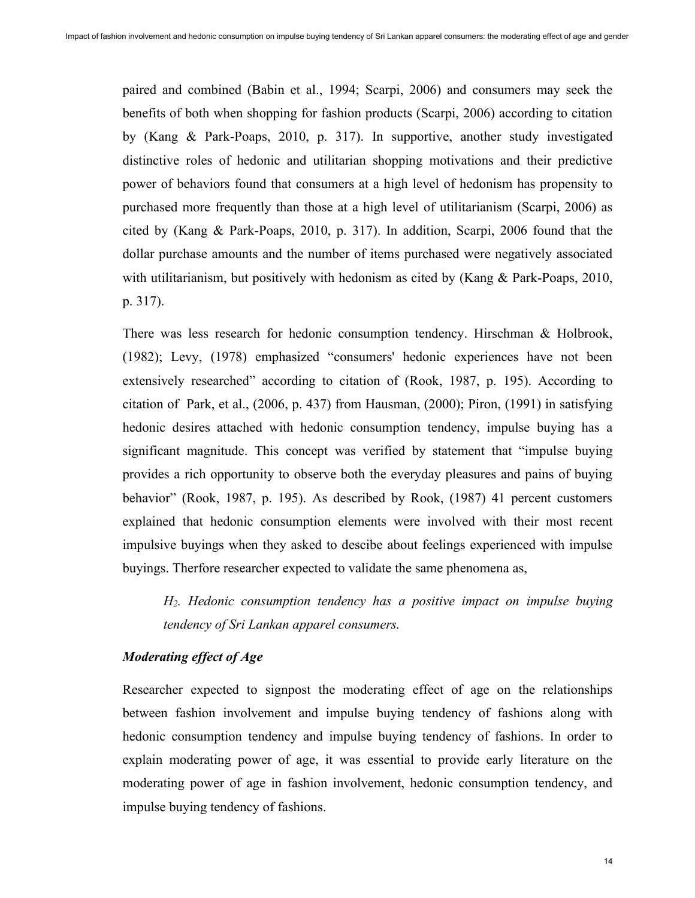paired and combined (Babin et al., 1994; Scarpi, 2006) and consumers may seek the benefits of both when shopping for fashion products (Scarpi, 2006) according to citation by (Kang & Park-Poaps, 2010, p. 317). In supportive, another study investigated distinctive roles of hedonic and utilitarian shopping motivations and their predictive power of behaviors found that consumers at a high level of hedonism has propensity to purchased more frequently than those at a high level of utilitarianism (Scarpi, 2006) as cited by (Kang & Park-Poaps, 2010, p. 317). In addition, Scarpi, 2006 found that the dollar purchase amounts and the number of items purchased were negatively associated with utilitarianism, but positively with hedonism as cited by (Kang & Park-Poaps, 2010, p. 317).

There was less research for hedonic consumption tendency. Hirschman & Holbrook, (1982); Levy, (1978) emphasized "consumers' hedonic experiences have not been extensively researched" according to citation of (Rook, 1987, p. 195). According to citation of Park, et al., (2006, p. 437) from Hausman, (2000); Piron, (1991) in satisfying hedonic desires attached with hedonic consumption tendency, impulse buying has a significant magnitude. This concept was verified by statement that "impulse buying provides a rich opportunity to observe both the everyday pleasures and pains of buying behavior" (Rook, 1987, p. 195). As described by Rook, (1987) 41 percent customers explained that hedonic consumption elements were involved with their most recent impulsive buyings when they asked to descibe about feelings experienced with impulse buyings. Therfore researcher expected to validate the same phenomena as,

*H2. Hedonic consumption tendency has a positive impact on impulse buying tendency of Sri Lankan apparel consumers.*

# *Moderating effect of Age*

Researcher expected to signpost the moderating effect of age on the relationships between fashion involvement and impulse buying tendency of fashions along with hedonic consumption tendency and impulse buying tendency of fashions. In order to explain moderating power of age, it was essential to provide early literature on the moderating power of age in fashion involvement, hedonic consumption tendency, and impulse buying tendency of fashions.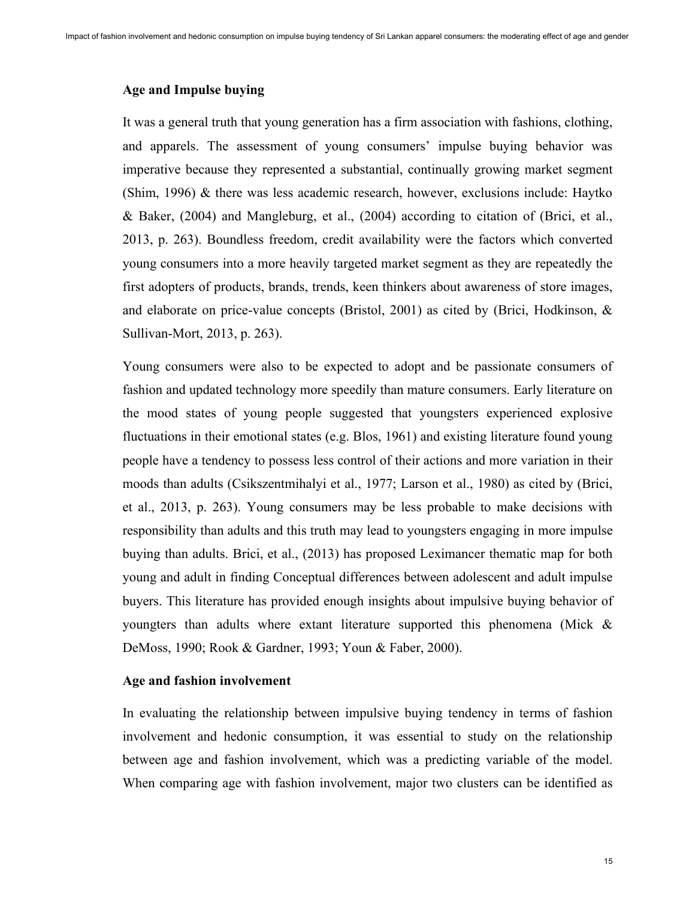# **Age and Impulse buying**

It was a general truth that young generation has a firm association with fashions, clothing, and apparels. The assessment of young consumers' impulse buying behavior was imperative because they represented a substantial, continually growing market segment (Shim, 1996) & there was less academic research, however, exclusions include: Haytko & Baker, (2004) and Mangleburg, et al., (2004) according to citation of (Brici, et al., 2013, p. 263). Boundless freedom, credit availability were the factors which converted young consumers into a more heavily targeted market segment as they are repeatedly the first adopters of products, brands, trends, keen thinkers about awareness of store images, and elaborate on price-value concepts (Bristol, 2001) as cited by (Brici, Hodkinson, & Sullivan-Mort, 2013, p. 263).

Young consumers were also to be expected to adopt and be passionate consumers of fashion and updated technology more speedily than mature consumers. Early literature on the mood states of young people suggested that youngsters experienced explosive fluctuations in their emotional states (e.g. Blos, 1961) and existing literature found young people have a tendency to possess less control of their actions and more variation in their moods than adults (Csikszentmihalyi et al., 1977; Larson et al., 1980) as cited by (Brici, et al., 2013, p. 263). Young consumers may be less probable to make decisions with responsibility than adults and this truth may lead to youngsters engaging in more impulse buying than adults. Brici, et al., (2013) has proposed Leximancer thematic map for both young and adult in finding Conceptual differences between adolescent and adult impulse buyers. This literature has provided enough insights about impulsive buying behavior of youngters than adults where extant literature supported this phenomena (Mick & DeMoss, 1990; Rook & Gardner, 1993; Youn & Faber, 2000).

## **Age and fashion involvement**

In evaluating the relationship between impulsive buying tendency in terms of fashion involvement and hedonic consumption, it was essential to study on the relationship between age and fashion involvement, which was a predicting variable of the model. When comparing age with fashion involvement, major two clusters can be identified as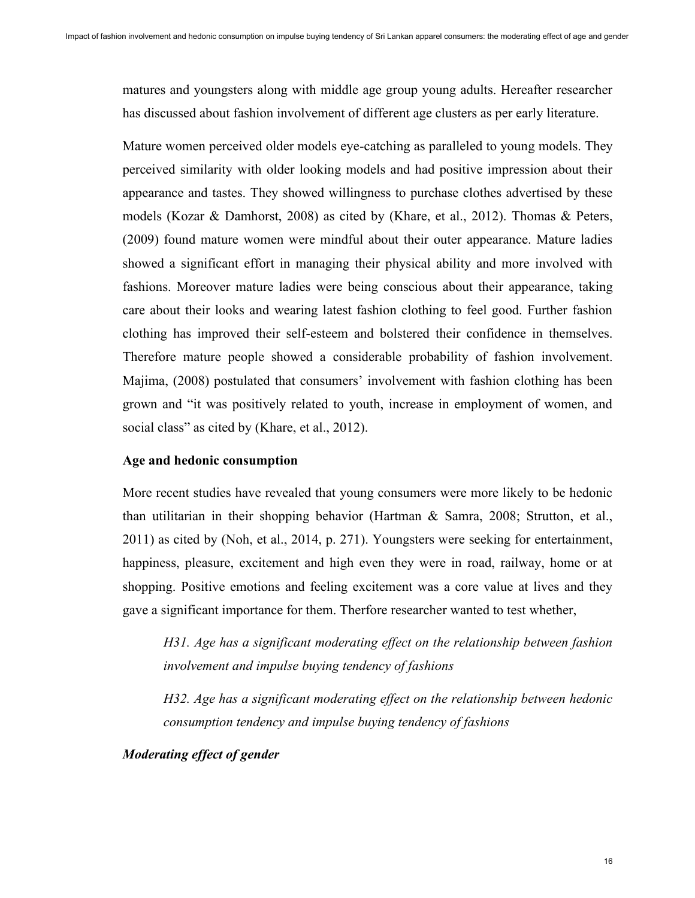matures and youngsters along with middle age group young adults. Hereafter researcher has discussed about fashion involvement of different age clusters as per early literature.

Mature women perceived older models eye-catching as paralleled to young models. They perceived similarity with older looking models and had positive impression about their appearance and tastes. They showed willingness to purchase clothes advertised by these models (Kozar & Damhorst, 2008) as cited by (Khare, et al., 2012). Thomas & Peters, (2009) found mature women were mindful about their outer appearance. Mature ladies showed a significant effort in managing their physical ability and more involved with fashions. Moreover mature ladies were being conscious about their appearance, taking care about their looks and wearing latest fashion clothing to feel good. Further fashion clothing has improved their self-esteem and bolstered their confidence in themselves. Therefore mature people showed a considerable probability of fashion involvement. Majima, (2008) postulated that consumers' involvement with fashion clothing has been grown and "it was positively related to youth, increase in employment of women, and social class" as cited by (Khare, et al., 2012).

#### **Age and hedonic consumption**

More recent studies have revealed that young consumers were more likely to be hedonic than utilitarian in their shopping behavior (Hartman & Samra, 2008; Strutton, et al., 2011) as cited by (Noh, et al., 2014, p. 271). Youngsters were seeking for entertainment, happiness, pleasure, excitement and high even they were in road, railway, home or at shopping. Positive emotions and feeling excitement was a core value at lives and they gave a significant importance for them. Therfore researcher wanted to test whether,

*H31. Age has a significant moderating effect on the relationship between fashion involvement and impulse buying tendency of fashions*

*H32. Age has a significant moderating effect on the relationship between hedonic consumption tendency and impulse buying tendency of fashions*

# *Moderating effect of gender*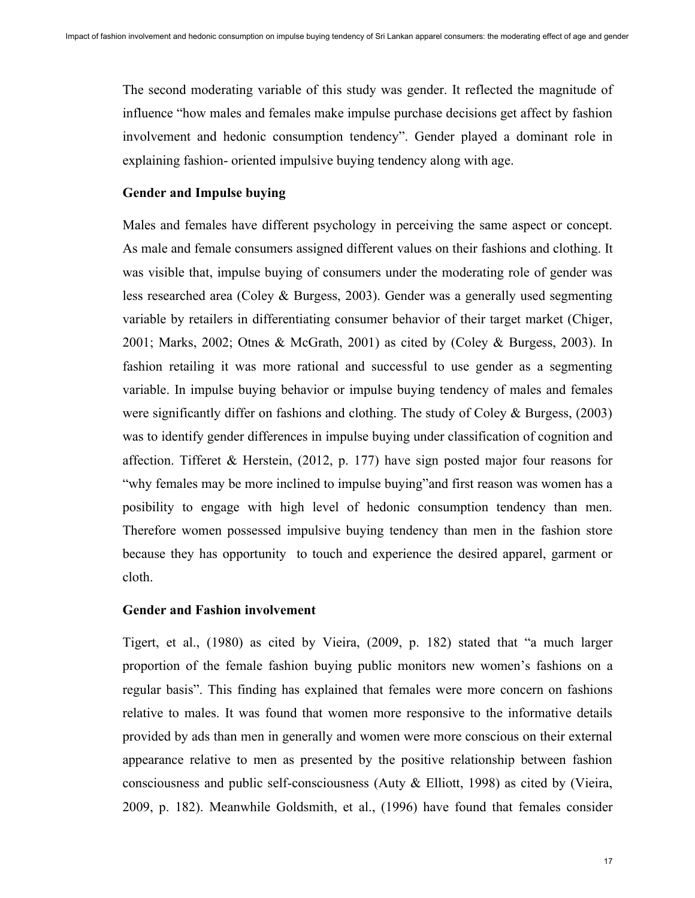The second moderating variable of this study was gender. It reflected the magnitude of influence "how males and females make impulse purchase decisions get affect by fashion involvement and hedonic consumption tendency". Gender played a dominant role in explaining fashion- oriented impulsive buying tendency along with age.

## **Gender and Impulse buying**

Males and females have different psychology in perceiving the same aspect or concept. As male and female consumers assigned different values on their fashions and clothing. It was visible that, impulse buying of consumers under the moderating role of gender was less researched area (Coley & Burgess, 2003). Gender was a generally used segmenting variable by retailers in differentiating consumer behavior of their target market (Chiger, 2001; Marks, 2002; Otnes & McGrath, 2001) as cited by (Coley & Burgess, 2003). In fashion retailing it was more rational and successful to use gender as a segmenting variable. In impulse buying behavior or impulse buying tendency of males and females were significantly differ on fashions and clothing. The study of Coley & Burgess, (2003) was to identify gender differences in impulse buying under classification of cognition and affection. Tifferet & Herstein, (2012, p. 177) have sign posted major four reasons for "why females may be more inclined to impulse buying"and first reason was women has a posibility to engage with high level of hedonic consumption tendency than men. Therefore women possessed impulsive buying tendency than men in the fashion store because they has opportunity to touch and experience the desired apparel, garment or cloth.

#### **Gender and Fashion involvement**

Tigert, et al., (1980) as cited by Vieira, (2009, p. 182) stated that "a much larger proportion of the female fashion buying public monitors new women's fashions on a regular basis". This finding has explained that females were more concern on fashions relative to males. It was found that women more responsive to the informative details provided by ads than men in generally and women were more conscious on their external appearance relative to men as presented by the positive relationship between fashion consciousness and public self-consciousness (Auty  $\&$  Elliott, 1998) as cited by (Vieira, 2009, p. 182). Meanwhile Goldsmith, et al., (1996) have found that females consider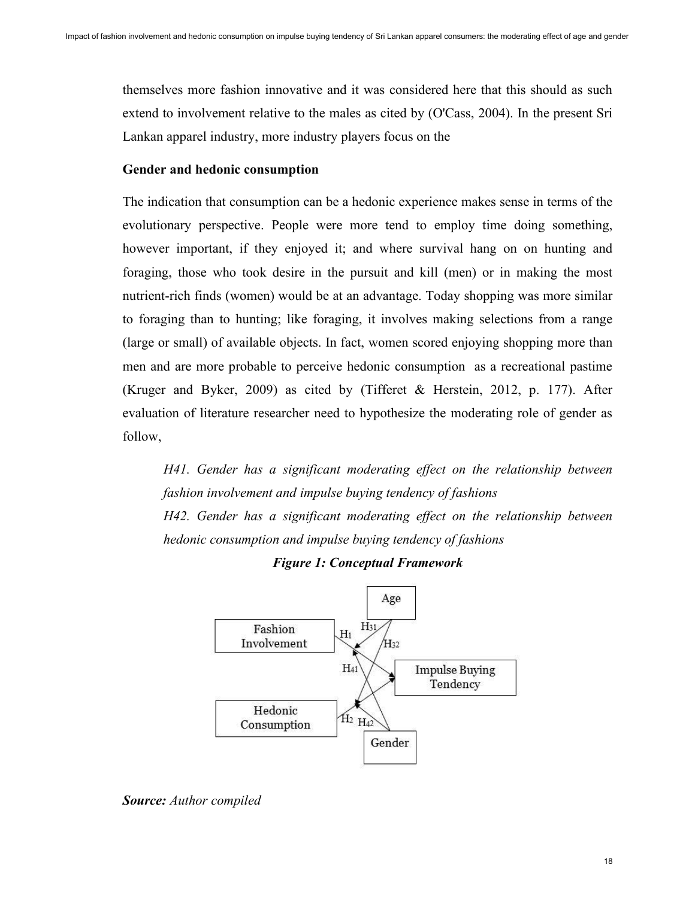themselves more fashion innovative and it was considered here that this should as such extend to involvement relative to the males as cited by (O'Cass, 2004). In the present Sri Lankan apparel industry, more industry players focus on the

#### **Gender and hedonic consumption**

The indication that consumption can be a hedonic experience makes sense in terms of the evolutionary perspective. People were more tend to employ time doing something, however important, if they enjoyed it; and where survival hang on on hunting and foraging, those who took desire in the pursuit and kill (men) or in making the most nutrient-rich finds (women) would be at an advantage. Today shopping was more similar to foraging than to hunting; like foraging, it involves making selections from a range (large or small) of available objects. In fact, women scored enjoying shopping more than men and are more probable to perceive hedonic consumption as a recreational pastime (Kruger and Byker, 2009) as cited by (Tifferet & Herstein, 2012, p. 177). After evaluation of literature researcher need to hypothesize the moderating role of gender as follow,

*H41. Gender has a significant moderating effect on the relationship between fashion involvement and impulse buying tendency of fashions H42. Gender has a significant moderating effect on the relationship between hedonic consumption and impulse buying tendency of fashions*



*Figure 1: Conceptual Framework*

*Source: Author compiled*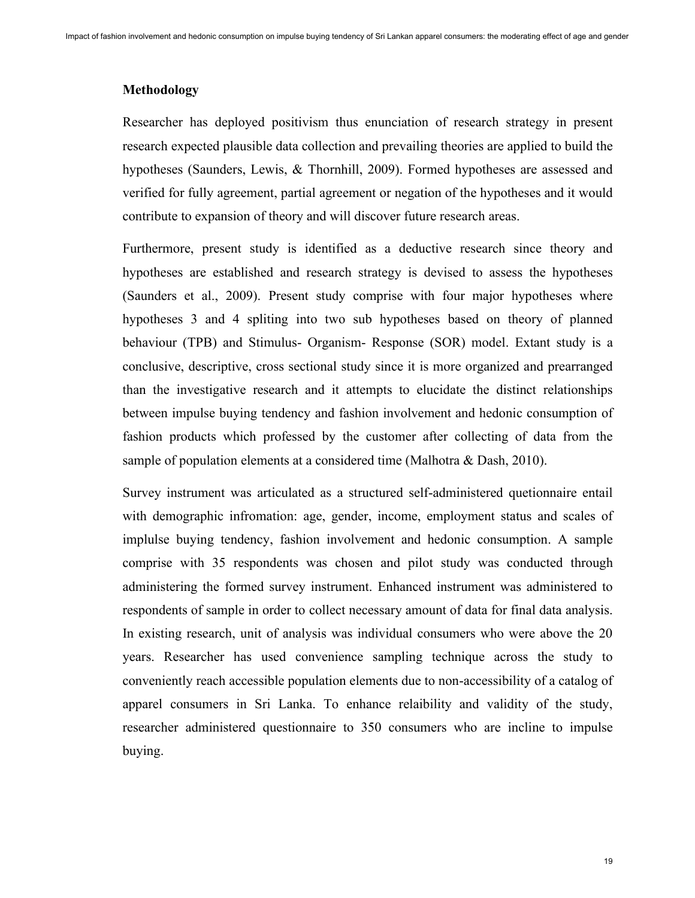#### **Methodology**

Researcher has deployed positivism thus enunciation of research strategy in present research expected plausible data collection and prevailing theories are applied to build the hypotheses (Saunders, Lewis, & Thornhill, 2009). Formed hypotheses are assessed and verified for fully agreement, partial agreement or negation of the hypotheses and it would contribute to expansion of theory and will discover future research areas.

Furthermore, present study is identified as a deductive research since theory and hypotheses are established and research strategy is devised to assess the hypotheses (Saunders et al., 2009). Present study comprise with four major hypotheses where hypotheses 3 and 4 spliting into two sub hypotheses based on theory of planned behaviour (TPB) and Stimulus- Organism- Response (SOR) model. Extant study is a conclusive, descriptive, cross sectional study since it is more organized and prearranged than the investigative research and it attempts to elucidate the distinct relationships between impulse buying tendency and fashion involvement and hedonic consumption of fashion products which professed by the customer after collecting of data from the sample of population elements at a considered time (Malhotra & Dash, 2010).

Survey instrument was articulated as a structured self-administered quetionnaire entail with demographic infromation: age, gender, income, employment status and scales of implulse buying tendency, fashion involvement and hedonic consumption. A sample comprise with 35 respondents was chosen and pilot study was conducted through administering the formed survey instrument. Enhanced instrument was administered to respondents of sample in order to collect necessary amount of data for final data analysis. In existing research, unit of analysis was individual consumers who were above the 20 years. Researcher has used convenience sampling technique across the study to conveniently reach accessible population elements due to non-accessibility of a catalog of apparel consumers in Sri Lanka. To enhance relaibility and validity of the study, researcher administered questionnaire to 350 consumers who are incline to impulse buying.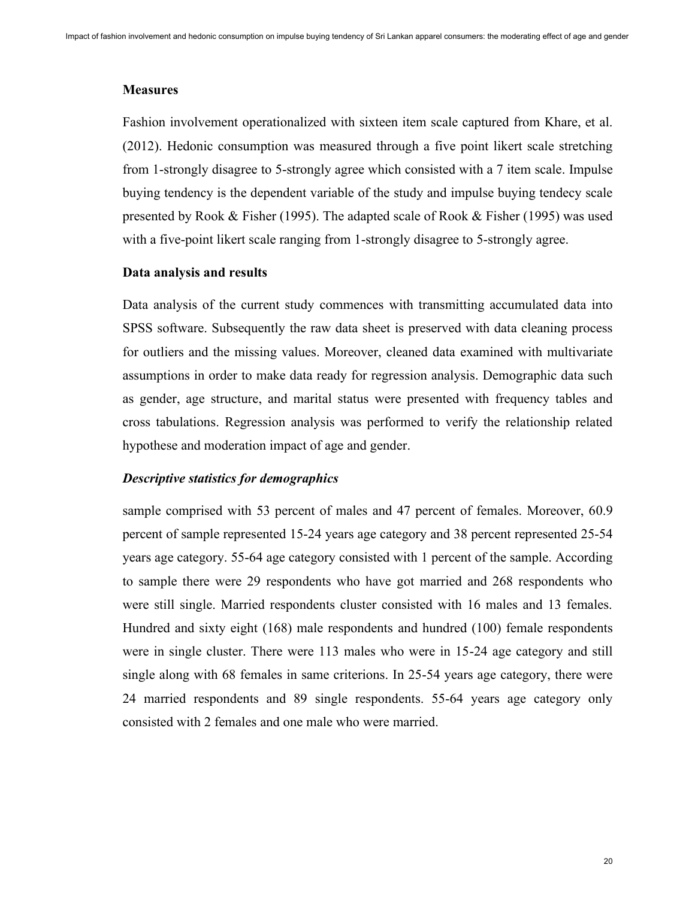#### **Measures**

Fashion involvement operationalized with sixteen item scale captured from Khare, et al. (2012). Hedonic consumption was measured through a five point likert scale stretching from 1-strongly disagree to 5-strongly agree which consisted with a 7 item scale. Impulse buying tendency is the dependent variable of the study and impulse buying tendecy scale presented by Rook & Fisher (1995). The adapted scale of Rook & Fisher (1995) was used with a five-point likert scale ranging from 1-strongly disagree to 5-strongly agree.

#### **Data analysis and results**

Data analysis of the current study commences with transmitting accumulated data into SPSS software. Subsequently the raw data sheet is preserved with data cleaning process for outliers and the missing values. Moreover, cleaned data examined with multivariate assumptions in order to make data ready for regression analysis. Demographic data such as gender, age structure, and marital status were presented with frequency tables and cross tabulations. Regression analysis was performed to verify the relationship related hypothese and moderation impact of age and gender.

#### *Descriptive statistics for demographics*

sample comprised with 53 percent of males and 47 percent of females. Moreover, 60.9 percent of sample represented 15-24 years age category and 38 percent represented 25-54 years age category. 55-64 age category consisted with 1 percent of the sample. According to sample there were 29 respondents who have got married and 268 respondents who were still single. Married respondents cluster consisted with 16 males and 13 females. Hundred and sixty eight (168) male respondents and hundred (100) female respondents were in single cluster. There were 113 males who were in 15-24 age category and still single along with 68 females in same criterions. In 25-54 years age category, there were 24 married respondents and 89 single respondents. 55-64 years age category only consisted with 2 females and one male who were married.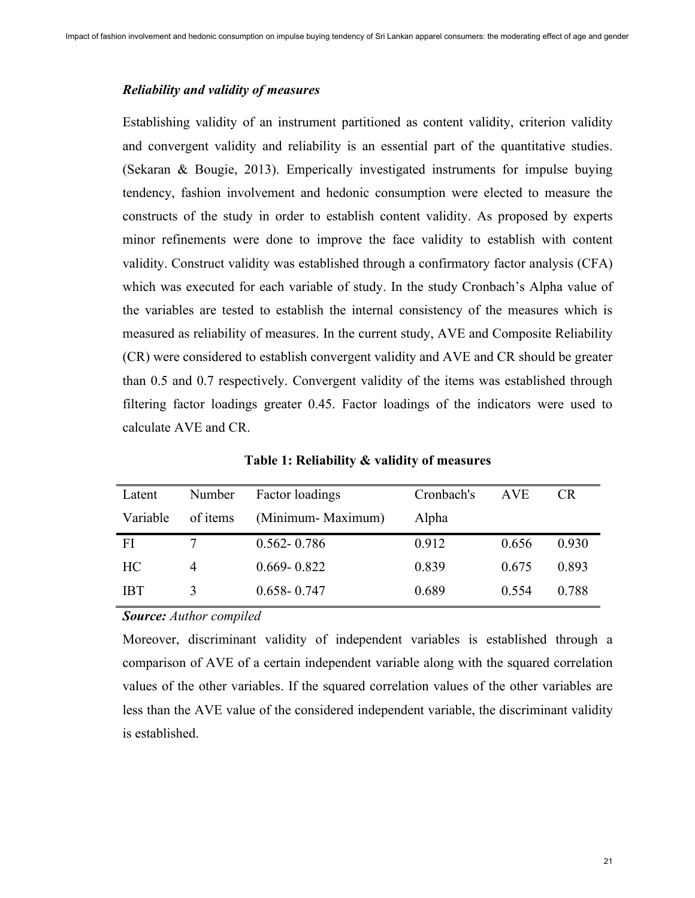## *Reliability and validity of measures*

Establishing validity of an instrument partitioned as content validity, criterion validity and convergent validity and reliability is an essential part of the quantitative studies. (Sekaran & Bougie, 2013). Emperically investigated instruments for impulse buying tendency, fashion involvement and hedonic consumption were elected to measure the constructs of the study in order to establish content validity. As proposed by experts minor refinements were done to improve the face validity to establish with content validity. Construct validity was established through a confirmatory factor analysis (CFA) which was executed for each variable of study. In the study Cronbach's Alpha value of the variables are tested to establish the internal consistency of the measures which is measured as reliability of measures. In the current study, AVE and Composite Reliability (CR) were considered to establish convergent validity and AVE and CR should be greater than 0.5 and 0.7 respectively. Convergent validity of the items was established through filtering factor loadings greater 0.45. Factor loadings of the indicators were used to calculate AVE and CR.

| Number   | Factor loadings   | Cronbach's | AVE   | <b>CR</b> |
|----------|-------------------|------------|-------|-----------|
| of items | (Minimum-Maximum) | Alpha      |       |           |
| −        | $0.562 - 0.786$   | 0.912      | 0.656 | 0.930     |
|          | $0.669 - 0.822$   | 0.839      | 0.675 | 0.893     |
|          | $0.658 - 0.747$   | 0.689      | 0.554 | 0.788     |
|          |                   |            |       |           |

**Table 1: Reliability & validity of measures**

*Source: Author compiled*

Moreover, discriminant validity of independent variables is established through a comparison of AVE of a certain independent variable along with the squared correlation values of the other variables. If the squared correlation values of the other variables are less than the AVE value of the considered independent variable, the discriminant validity is established.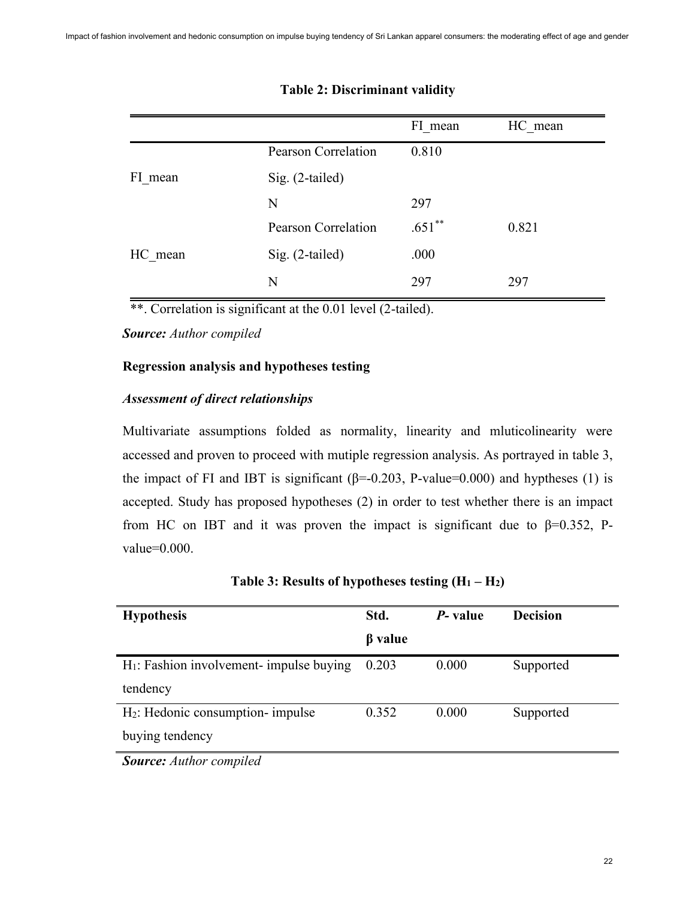|         |                            | FI mean   | HC mean |
|---------|----------------------------|-----------|---------|
|         | <b>Pearson Correlation</b> | 0.810     |         |
| FI mean | Sig. (2-tailed)            |           |         |
|         | N                          | 297       |         |
|         | <b>Pearson Correlation</b> | $.651$ ** | 0.821   |
| HC mean | Sig. (2-tailed)            | .000      |         |
|         | N                          | 297       | 297     |

# **Table 2: Discriminant validity**

\*\*. Correlation is significant at the 0.01 level (2-tailed).

*Source: Author compiled*

# **Regression analysis and hypotheses testing**

# *Assessment of direct relationships*

Multivariate assumptions folded as normality, linearity and mluticolinearity were accessed and proven to proceed with mutiple regression analysis. As portrayed in table 3, the impact of FI and IBT is significant ( $\beta$ =-0.203, P-value=0.000) and hyptheses (1) is accepted. Study has proposed hypotheses (2) in order to test whether there is an impact from HC on IBT and it was proven the impact is significant due to  $\beta$ =0.352, Pvalue=0.000.

| <b>Hypothesis</b>                           | Std.          | P- value | <b>Decision</b> |
|---------------------------------------------|---------------|----------|-----------------|
|                                             | $\beta$ value |          |                 |
| $H_1$ : Fashion involvement- impulse buying | 0.203         | 0.000    | Supported       |
| tendency                                    |               |          |                 |
| $H_2$ : Hedonic consumption- impulse        | 0.352         | 0.000    | Supported       |
| buying tendency                             |               |          |                 |
| $\mathbf{C}$ A d b $\mathbf{C}$             |               |          |                 |

| Table 3: Results of hypotheses testing $(H_1 - H_2)$ |  |  |  |
|------------------------------------------------------|--|--|--|
|------------------------------------------------------|--|--|--|

*Source: Author compiled*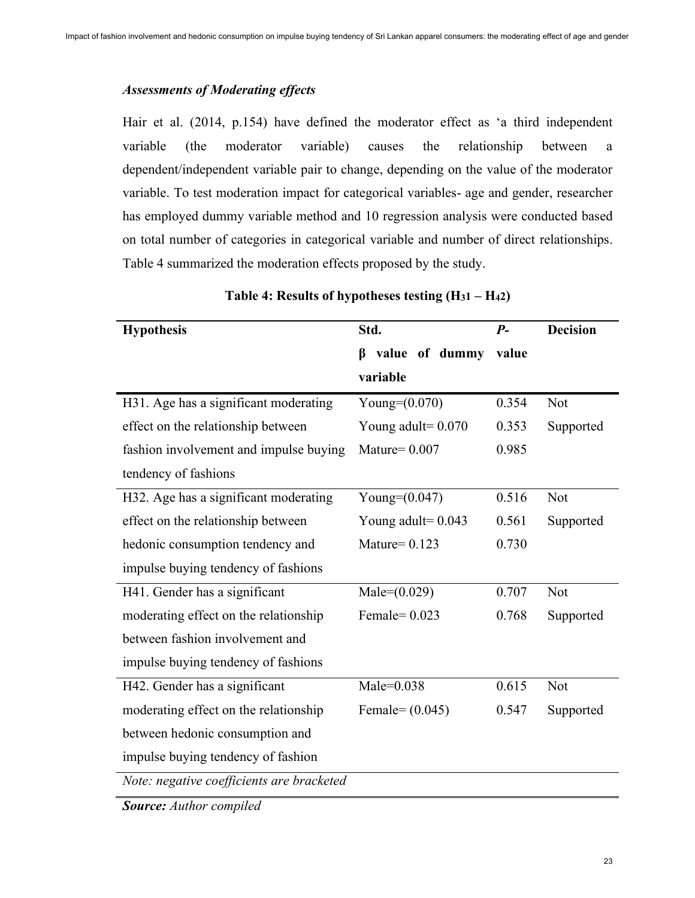# *Assessments of Moderating effects*

Hair et al. (2014, p.154) have defined the moderator effect as 'a third independent variable (the moderator variable) causes the relationship between a dependent/independent variable pair to change, depending on the value of the moderator variable. To test moderation impact for categorical variables- age and gender, researcher has employed dummy variable method and 10 regression analysis were conducted based on total number of categories in categorical variable and number of direct relationships. Table 4 summarized the moderation effects proposed by the study.

| <b>Hypothesis</b>                         | Std.                 | $P-$  | <b>Decision</b> |
|-------------------------------------------|----------------------|-------|-----------------|
|                                           | value of dummy<br>ß  | value |                 |
|                                           | variable             |       |                 |
| H31. Age has a significant moderating     | Young= $(0.070)$     | 0.354 | Not             |
| effect on the relationship between        | Young adult= $0.070$ | 0.353 | Supported       |
| fashion involvement and impulse buying    | Mature= $0.007$      | 0.985 |                 |
| tendency of fashions                      |                      |       |                 |
| H32. Age has a significant moderating     | Young= $(0.047)$     | 0.516 | Not             |
| effect on the relationship between        | Young adult= $0.043$ | 0.561 | Supported       |
| hedonic consumption tendency and          | Mature= $0.123$      | 0.730 |                 |
| impulse buying tendency of fashions       |                      |       |                 |
| H41. Gender has a significant             | Male= $(0.029)$      | 0.707 | Not             |
| moderating effect on the relationship     | Female= $0.023$      | 0.768 | Supported       |
| between fashion involvement and           |                      |       |                 |
| impulse buying tendency of fashions       |                      |       |                 |
| H42. Gender has a significant             | $Male = 0.038$       | 0.615 | Not             |
| moderating effect on the relationship     | Female= $(0.045)$    | 0.547 | Supported       |
| between hedonic consumption and           |                      |       |                 |
| impulse buying tendency of fashion        |                      |       |                 |
| Note: negative coefficients are bracketed |                      |       |                 |

# **Table 4: Results of hypotheses testing (H31 – H42)**

*Source: Author compiled*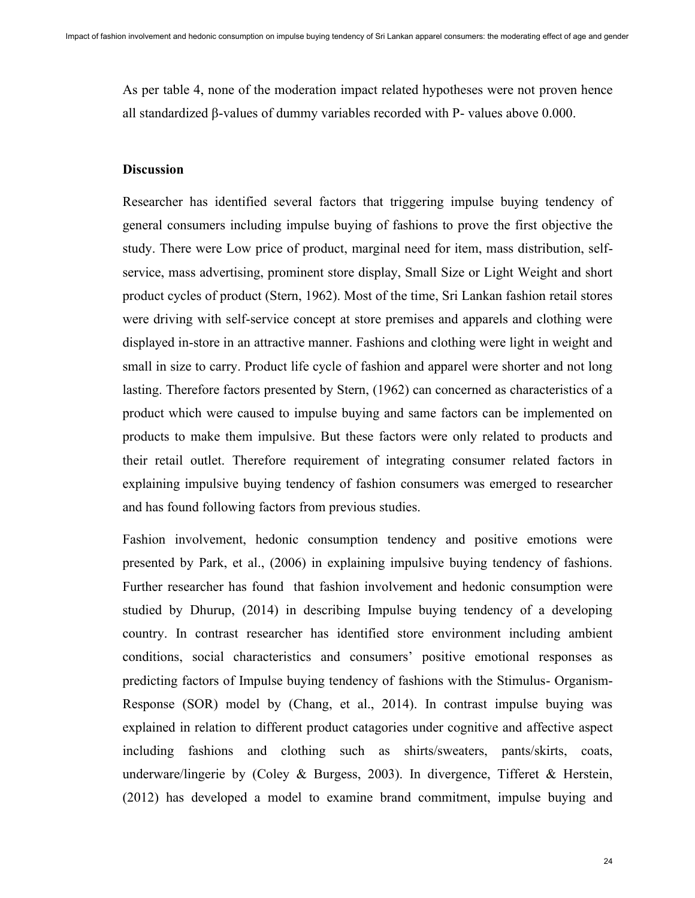As per table 4, none of the moderation impact related hypotheses were not proven hence all standardized β-values of dummy variables recorded with P- values above 0.000.

# **Discussion**

Researcher has identified several factors that triggering impulse buying tendency of general consumers including impulse buying of fashions to prove the first objective the study. There were Low price of product, marginal need for item, mass distribution, selfservice, mass advertising, prominent store display, Small Size or Light Weight and short product cycles of product (Stern, 1962). Most of the time, Sri Lankan fashion retail stores were driving with self-service concept at store premises and apparels and clothing were displayed in-store in an attractive manner. Fashions and clothing were light in weight and small in size to carry. Product life cycle of fashion and apparel were shorter and not long lasting. Therefore factors presented by Stern, (1962) can concerned as characteristics of a product which were caused to impulse buying and same factors can be implemented on products to make them impulsive. But these factors were only related to products and their retail outlet. Therefore requirement of integrating consumer related factors in explaining impulsive buying tendency of fashion consumers was emerged to researcher and has found following factors from previous studies.

Fashion involvement, hedonic consumption tendency and positive emotions were presented by Park, et al., (2006) in explaining impulsive buying tendency of fashions. Further researcher has found that fashion involvement and hedonic consumption were studied by Dhurup, (2014) in describing Impulse buying tendency of a developing country. In contrast researcher has identified store environment including ambient conditions, social characteristics and consumers' positive emotional responses as predicting factors of Impulse buying tendency of fashions with the Stimulus- Organism-Response (SOR) model by (Chang, et al., 2014). In contrast impulse buying was explained in relation to different product catagories under cognitive and affective aspect including fashions and clothing such as shirts/sweaters, pants/skirts, coats, underware/lingerie by (Coley & Burgess, 2003). In divergence, Tifferet & Herstein, (2012) has developed a model to examine brand commitment, impulse buying and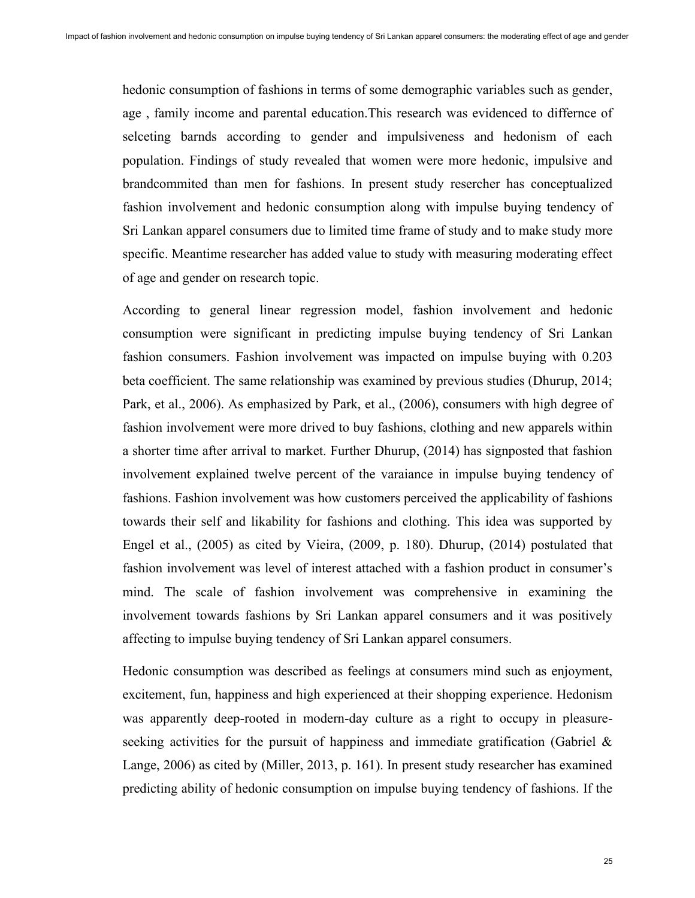hedonic consumption of fashions in terms of some demographic variables such as gender, age , family income and parental education.This research was evidenced to differnce of selceting barnds according to gender and impulsiveness and hedonism of each population. Findings of study revealed that women were more hedonic, impulsive and brandcommited than men for fashions. In present study resercher has conceptualized fashion involvement and hedonic consumption along with impulse buying tendency of Sri Lankan apparel consumers due to limited time frame of study and to make study more specific. Meantime researcher has added value to study with measuring moderating effect of age and gender on research topic.

According to general linear regression model, fashion involvement and hedonic consumption were significant in predicting impulse buying tendency of Sri Lankan fashion consumers. Fashion involvement was impacted on impulse buying with 0.203 beta coefficient. The same relationship was examined by previous studies (Dhurup, 2014; Park, et al., 2006). As emphasized by Park, et al., (2006), consumers with high degree of fashion involvement were more drived to buy fashions, clothing and new apparels within a shorter time after arrival to market. Further Dhurup, (2014) has signposted that fashion involvement explained twelve percent of the varaiance in impulse buying tendency of fashions. Fashion involvement was how customers perceived the applicability of fashions towards their self and likability for fashions and clothing. This idea was supported by Engel et al., (2005) as cited by Vieira, (2009, p. 180). Dhurup, (2014) postulated that fashion involvement was level of interest attached with a fashion product in consumer's mind. The scale of fashion involvement was comprehensive in examining the involvement towards fashions by Sri Lankan apparel consumers and it was positively affecting to impulse buying tendency of Sri Lankan apparel consumers.

Hedonic consumption was described as feelings at consumers mind such as enjoyment, excitement, fun, happiness and high experienced at their shopping experience. Hedonism was apparently deep-rooted in modern-day culture as a right to occupy in pleasureseeking activities for the pursuit of happiness and immediate gratification (Gabriel  $\&$ Lange, 2006) as cited by (Miller, 2013, p. 161). In present study researcher has examined predicting ability of hedonic consumption on impulse buying tendency of fashions. If the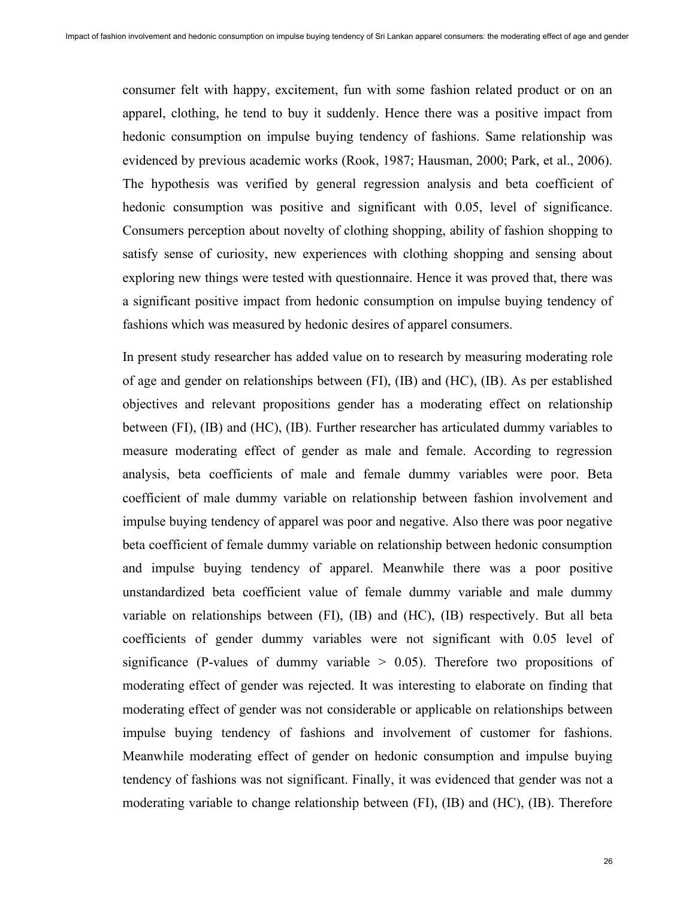consumer felt with happy, excitement, fun with some fashion related product or on an apparel, clothing, he tend to buy it suddenly. Hence there was a positive impact from hedonic consumption on impulse buying tendency of fashions. Same relationship was evidenced by previous academic works (Rook, 1987; Hausman, 2000; Park, et al., 2006). The hypothesis was verified by general regression analysis and beta coefficient of hedonic consumption was positive and significant with 0.05, level of significance. Consumers perception about novelty of clothing shopping, ability of fashion shopping to satisfy sense of curiosity, new experiences with clothing shopping and sensing about exploring new things were tested with questionnaire. Hence it was proved that, there was a significant positive impact from hedonic consumption on impulse buying tendency of fashions which was measured by hedonic desires of apparel consumers.

In present study researcher has added value on to research by measuring moderating role of age and gender on relationships between (FI), (IB) and (HC), (IB). As per established objectives and relevant propositions gender has a moderating effect on relationship between (FI), (IB) and (HC), (IB). Further researcher has articulated dummy variables to measure moderating effect of gender as male and female. According to regression analysis, beta coefficients of male and female dummy variables were poor. Beta coefficient of male dummy variable on relationship between fashion involvement and impulse buying tendency of apparel was poor and negative. Also there was poor negative beta coefficient of female dummy variable on relationship between hedonic consumption and impulse buying tendency of apparel. Meanwhile there was a poor positive unstandardized beta coefficient value of female dummy variable and male dummy variable on relationships between (FI), (IB) and (HC), (IB) respectively. But all beta coefficients of gender dummy variables were not significant with 0.05 level of significance (P-values of dummy variable  $> 0.05$ ). Therefore two propositions of moderating effect of gender was rejected. It was interesting to elaborate on finding that moderating effect of gender was not considerable or applicable on relationships between impulse buying tendency of fashions and involvement of customer for fashions. Meanwhile moderating effect of gender on hedonic consumption and impulse buying tendency of fashions was not significant. Finally, it was evidenced that gender was not a moderating variable to change relationship between (FI), (IB) and (HC), (IB). Therefore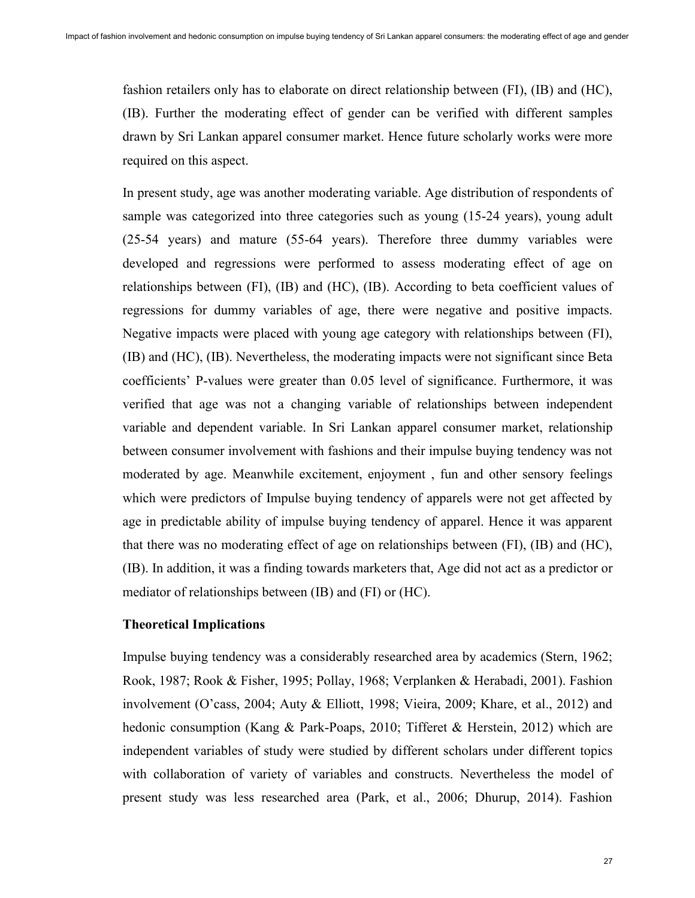fashion retailers only has to elaborate on direct relationship between (FI), (IB) and (HC), (IB). Further the moderating effect of gender can be verified with different samples drawn by Sri Lankan apparel consumer market. Hence future scholarly works were more required on this aspect.

In present study, age was another moderating variable. Age distribution of respondents of sample was categorized into three categories such as young (15-24 years), young adult (25-54 years) and mature (55-64 years). Therefore three dummy variables were developed and regressions were performed to assess moderating effect of age on relationships between (FI), (IB) and (HC), (IB). According to beta coefficient values of regressions for dummy variables of age, there were negative and positive impacts. Negative impacts were placed with young age category with relationships between (FI), (IB) and (HC), (IB). Nevertheless, the moderating impacts were not significant since Beta coefficients' P-values were greater than 0.05 level of significance. Furthermore, it was verified that age was not a changing variable of relationships between independent variable and dependent variable. In Sri Lankan apparel consumer market, relationship between consumer involvement with fashions and their impulse buying tendency was not moderated by age. Meanwhile excitement, enjoyment , fun and other sensory feelings which were predictors of Impulse buying tendency of apparels were not get affected by age in predictable ability of impulse buying tendency of apparel. Hence it was apparent that there was no moderating effect of age on relationships between (FI), (IB) and (HC), (IB). In addition, it was a finding towards marketers that, Age did not act as a predictor or mediator of relationships between (IB) and (FI) or (HC).

# **Theoretical Implications**

Impulse buying tendency was a considerably researched area by academics (Stern, 1962; Rook, 1987; Rook & Fisher, 1995; Pollay, 1968; Verplanken & Herabadi, 2001). Fashion involvement (O'cass, 2004; Auty & Elliott, 1998; Vieira, 2009; Khare, et al., 2012) and hedonic consumption (Kang & Park-Poaps, 2010; Tifferet & Herstein, 2012) which are independent variables of study were studied by different scholars under different topics with collaboration of variety of variables and constructs. Nevertheless the model of present study was less researched area (Park, et al., 2006; Dhurup, 2014). Fashion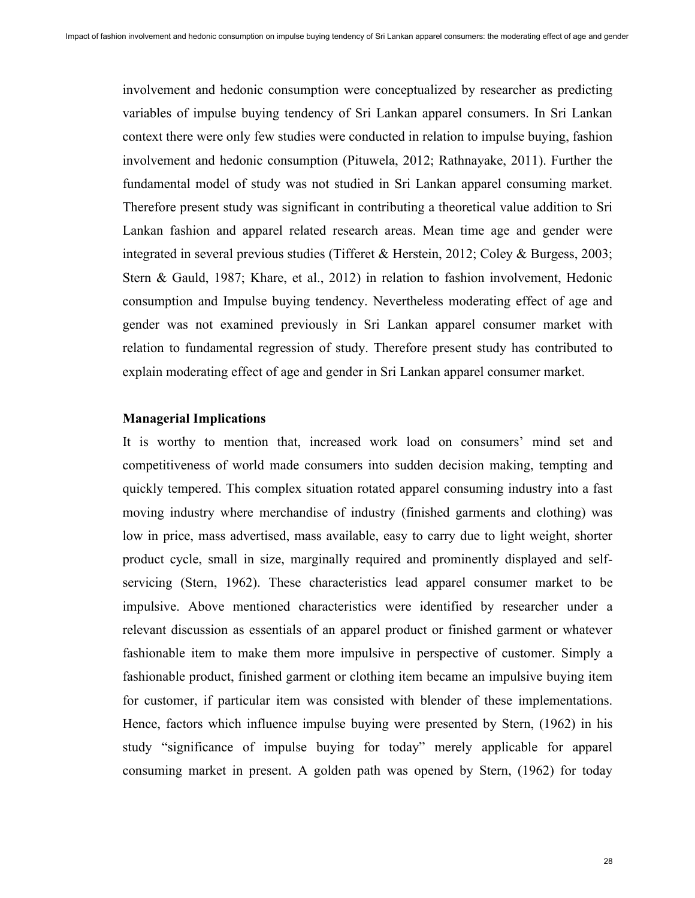involvement and hedonic consumption were conceptualized by researcher as predicting variables of impulse buying tendency of Sri Lankan apparel consumers. In Sri Lankan context there were only few studies were conducted in relation to impulse buying, fashion involvement and hedonic consumption (Pituwela, 2012; Rathnayake, 2011). Further the fundamental model of study was not studied in Sri Lankan apparel consuming market. Therefore present study was significant in contributing a theoretical value addition to Sri Lankan fashion and apparel related research areas. Mean time age and gender were integrated in several previous studies (Tifferet & Herstein, 2012; Coley & Burgess, 2003; Stern & Gauld, 1987; Khare, et al., 2012) in relation to fashion involvement, Hedonic consumption and Impulse buying tendency. Nevertheless moderating effect of age and gender was not examined previously in Sri Lankan apparel consumer market with relation to fundamental regression of study. Therefore present study has contributed to explain moderating effect of age and gender in Sri Lankan apparel consumer market.

## **Managerial Implications**

It is worthy to mention that, increased work load on consumers' mind set and competitiveness of world made consumers into sudden decision making, tempting and quickly tempered. This complex situation rotated apparel consuming industry into a fast moving industry where merchandise of industry (finished garments and clothing) was low in price, mass advertised, mass available, easy to carry due to light weight, shorter product cycle, small in size, marginally required and prominently displayed and selfservicing (Stern, 1962). These characteristics lead apparel consumer market to be impulsive. Above mentioned characteristics were identified by researcher under a relevant discussion as essentials of an apparel product or finished garment or whatever fashionable item to make them more impulsive in perspective of customer. Simply a fashionable product, finished garment or clothing item became an impulsive buying item for customer, if particular item was consisted with blender of these implementations. Hence, factors which influence impulse buying were presented by Stern, (1962) in his study "significance of impulse buying for today" merely applicable for apparel consuming market in present. A golden path was opened by Stern, (1962) for today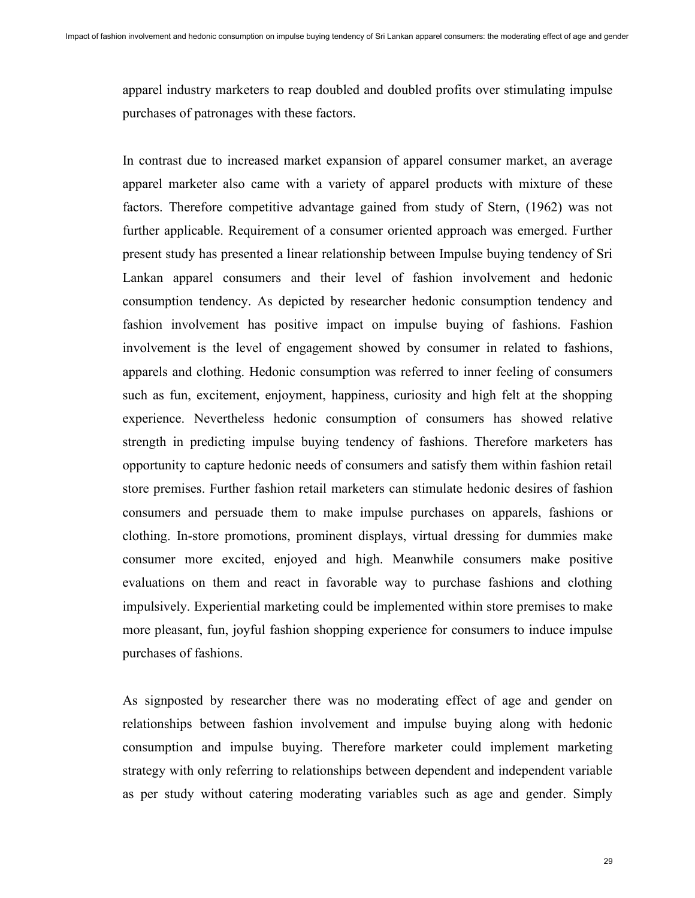apparel industry marketers to reap doubled and doubled profits over stimulating impulse purchases of patronages with these factors.

In contrast due to increased market expansion of apparel consumer market, an average apparel marketer also came with a variety of apparel products with mixture of these factors. Therefore competitive advantage gained from study of Stern, (1962) was not further applicable. Requirement of a consumer oriented approach was emerged. Further present study has presented a linear relationship between Impulse buying tendency of Sri Lankan apparel consumers and their level of fashion involvement and hedonic consumption tendency. As depicted by researcher hedonic consumption tendency and fashion involvement has positive impact on impulse buying of fashions. Fashion involvement is the level of engagement showed by consumer in related to fashions, apparels and clothing. Hedonic consumption was referred to inner feeling of consumers such as fun, excitement, enjoyment, happiness, curiosity and high felt at the shopping experience. Nevertheless hedonic consumption of consumers has showed relative strength in predicting impulse buying tendency of fashions. Therefore marketers has opportunity to capture hedonic needs of consumers and satisfy them within fashion retail store premises. Further fashion retail marketers can stimulate hedonic desires of fashion consumers and persuade them to make impulse purchases on apparels, fashions or clothing. In-store promotions, prominent displays, virtual dressing for dummies make consumer more excited, enjoyed and high. Meanwhile consumers make positive evaluations on them and react in favorable way to purchase fashions and clothing impulsively. Experiential marketing could be implemented within store premises to make more pleasant, fun, joyful fashion shopping experience for consumers to induce impulse purchases of fashions.

As signposted by researcher there was no moderating effect of age and gender on relationships between fashion involvement and impulse buying along with hedonic consumption and impulse buying. Therefore marketer could implement marketing strategy with only referring to relationships between dependent and independent variable as per study without catering moderating variables such as age and gender. Simply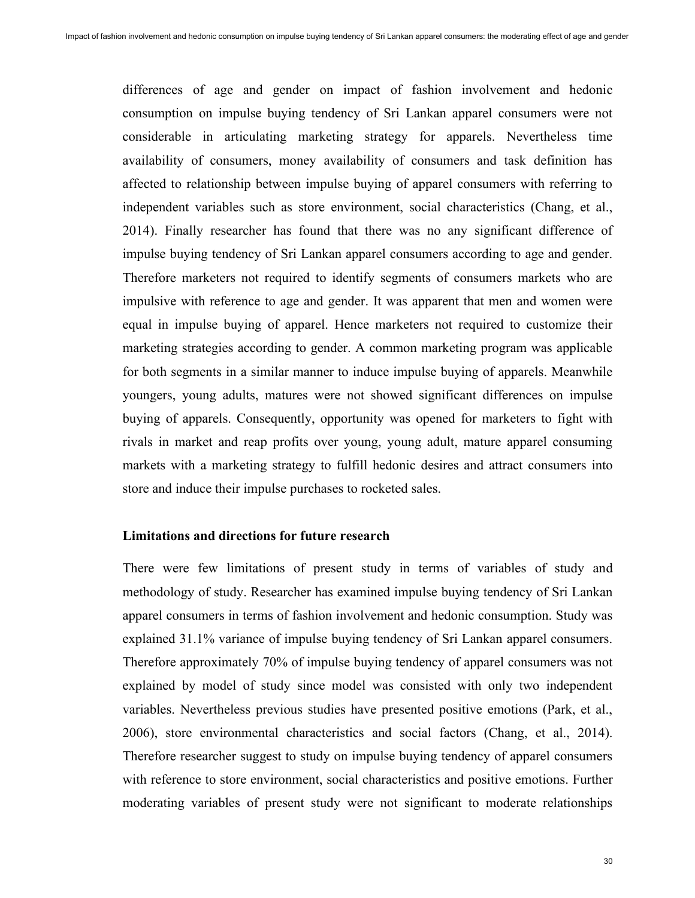differences of age and gender on impact of fashion involvement and hedonic consumption on impulse buying tendency of Sri Lankan apparel consumers were not considerable in articulating marketing strategy for apparels. Nevertheless time availability of consumers, money availability of consumers and task definition has affected to relationship between impulse buying of apparel consumers with referring to independent variables such as store environment, social characteristics (Chang, et al., 2014). Finally researcher has found that there was no any significant difference of impulse buying tendency of Sri Lankan apparel consumers according to age and gender. Therefore marketers not required to identify segments of consumers markets who are impulsive with reference to age and gender. It was apparent that men and women were equal in impulse buying of apparel. Hence marketers not required to customize their marketing strategies according to gender. A common marketing program was applicable for both segments in a similar manner to induce impulse buying of apparels. Meanwhile youngers, young adults, matures were not showed significant differences on impulse buying of apparels. Consequently, opportunity was opened for marketers to fight with rivals in market and reap profits over young, young adult, mature apparel consuming markets with a marketing strategy to fulfill hedonic desires and attract consumers into store and induce their impulse purchases to rocketed sales.

## **Limitations and directions for future research**

There were few limitations of present study in terms of variables of study and methodology of study. Researcher has examined impulse buying tendency of Sri Lankan apparel consumers in terms of fashion involvement and hedonic consumption. Study was explained 31.1% variance of impulse buying tendency of Sri Lankan apparel consumers. Therefore approximately 70% of impulse buying tendency of apparel consumers was not explained by model of study since model was consisted with only two independent variables. Nevertheless previous studies have presented positive emotions (Park, et al., 2006), store environmental characteristics and social factors (Chang, et al., 2014). Therefore researcher suggest to study on impulse buying tendency of apparel consumers with reference to store environment, social characteristics and positive emotions. Further moderating variables of present study were not significant to moderate relationships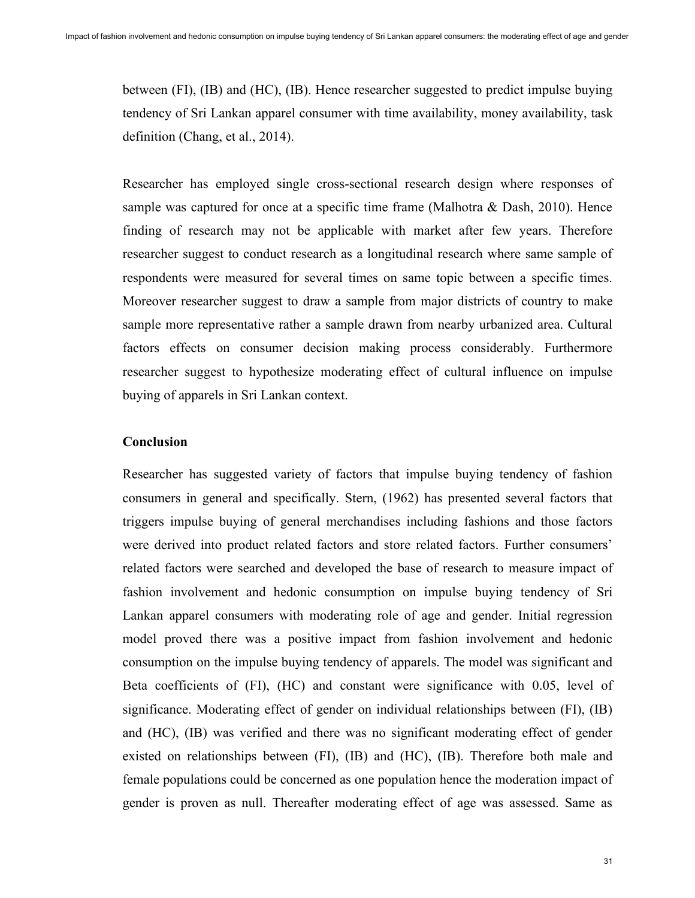between (FI), (IB) and (HC), (IB). Hence researcher suggested to predict impulse buying tendency of Sri Lankan apparel consumer with time availability, money availability, task definition (Chang, et al., 2014).

Researcher has employed single cross-sectional research design where responses of sample was captured for once at a specific time frame (Malhotra & Dash, 2010). Hence finding of research may not be applicable with market after few years. Therefore researcher suggest to conduct research as a longitudinal research where same sample of respondents were measured for several times on same topic between a specific times. Moreover researcher suggest to draw a sample from major districts of country to make sample more representative rather a sample drawn from nearby urbanized area. Cultural factors effects on consumer decision making process considerably. Furthermore researcher suggest to hypothesize moderating effect of cultural influence on impulse buying of apparels in Sri Lankan context.

#### **Conclusion**

Researcher has suggested variety of factors that impulse buying tendency of fashion consumers in general and specifically. Stern, (1962) has presented several factors that triggers impulse buying of general merchandises including fashions and those factors were derived into product related factors and store related factors. Further consumers' related factors were searched and developed the base of research to measure impact of fashion involvement and hedonic consumption on impulse buying tendency of Sri Lankan apparel consumers with moderating role of age and gender. Initial regression model proved there was a positive impact from fashion involvement and hedonic consumption on the impulse buying tendency of apparels. The model was significant and Beta coefficients of (FI), (HC) and constant were significance with 0.05, level of significance. Moderating effect of gender on individual relationships between (FI), (IB) and (HC), (IB) was verified and there was no significant moderating effect of gender existed on relationships between (FI), (IB) and (HC), (IB). Therefore both male and female populations could be concerned as one population hence the moderation impact of gender is proven as null. Thereafter moderating effect of age was assessed. Same as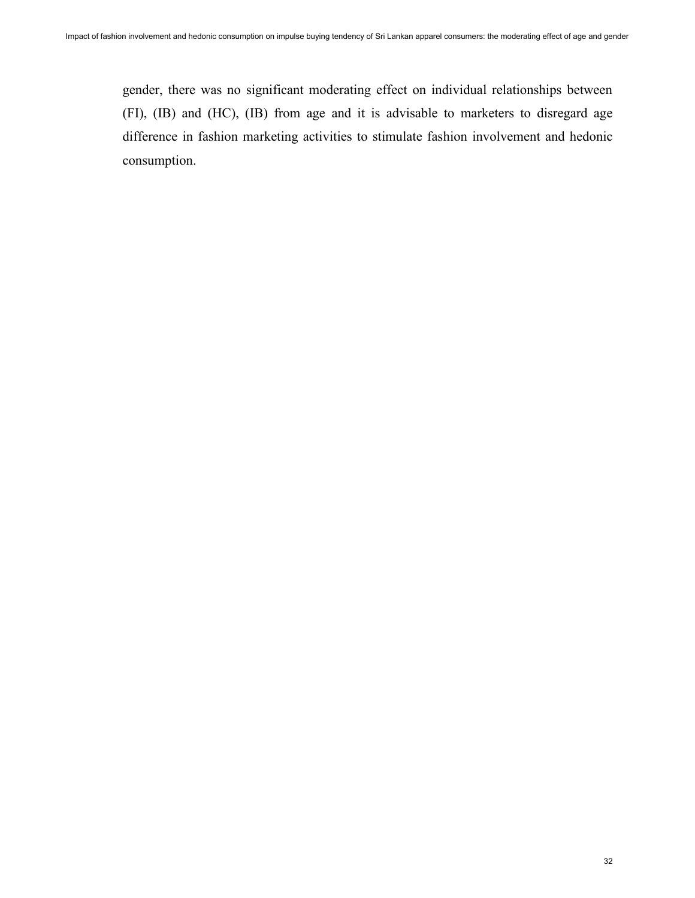gender, there was no significant moderating effect on individual relationships between (FI), (IB) and (HC), (IB) from age and it is advisable to marketers to disregard age difference in fashion marketing activities to stimulate fashion involvement and hedonic consumption.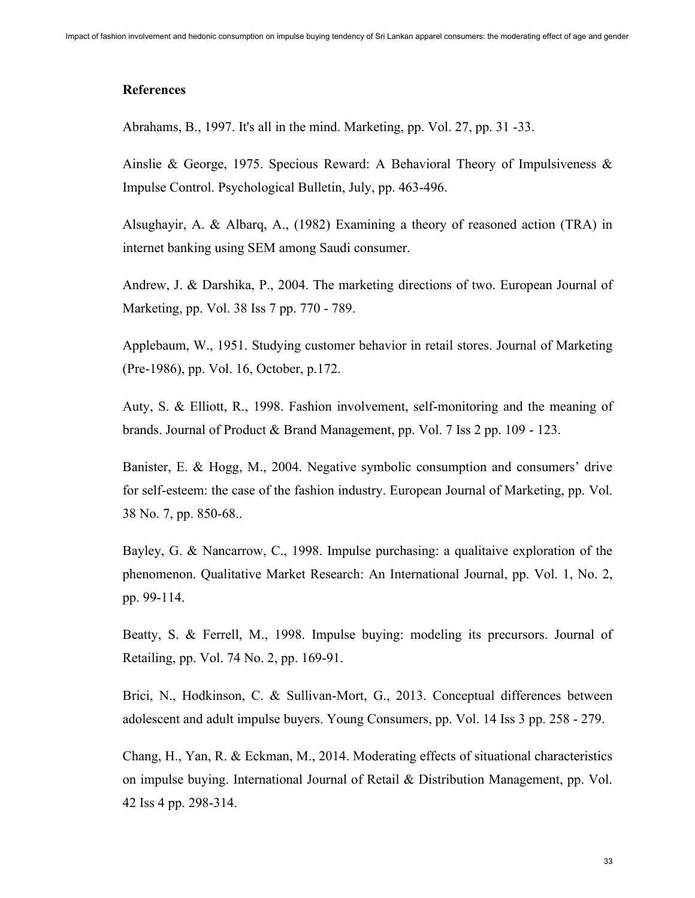#### **References**

Abrahams, B., 1997. It's all in the mind. Marketing, pp. Vol. 27, pp. 31 -33.

Ainslie & George, 1975. Specious Reward: A Behavioral Theory of Impulsiveness & Impulse Control. Psychological Bulletin, July, pp. 463-496.

Alsughayir, A. & Albarq, A., (1982) Examining a theory of reasoned action (TRA) in internet banking using SEM among Saudi consumer.

Andrew, J. & Darshika, P., 2004. The marketing directions of two. European Journal of Marketing, pp. Vol. 38 Iss 7 pp. 770 - 789.

Applebaum, W., 1951. Studying customer behavior in retail stores. Journal of Marketing (Pre-1986), pp. Vol. 16, October, p.172.

Auty, S. & Elliott, R., 1998. Fashion involvement, self-monitoring and the meaning of brands. Journal of Product & Brand Management, pp. Vol. 7 Iss 2 pp. 109 - 123.

Banister, E. & Hogg, M., 2004. Negative symbolic consumption and consumers' drive for self-esteem: the case of the fashion industry. European Journal of Marketing, pp. Vol. 38 No. 7, pp. 850-68..

Bayley, G. & Nancarrow, C., 1998. Impulse purchasing: a qualitaive exploration of the phenomenon. Qualitative Market Research: An International Journal, pp. Vol. 1, No. 2, pp. 99-114.

Beatty, S. & Ferrell, M., 1998. Impulse buying: modeling its precursors. Journal of Retailing, pp. Vol. 74 No. 2, pp. 169-91.

Brici, N., Hodkinson, C. & Sullivan-Mort, G., 2013. Conceptual differences between adolescent and adult impulse buyers. Young Consumers, pp. Vol. 14 Iss 3 pp. 258 - 279.

Chang, H., Yan, R. & Eckman, M., 2014. Moderating effects of situational characteristics on impulse buying. International Journal of Retail & Distribution Management, pp. Vol. 42 Iss 4 pp. 298-314.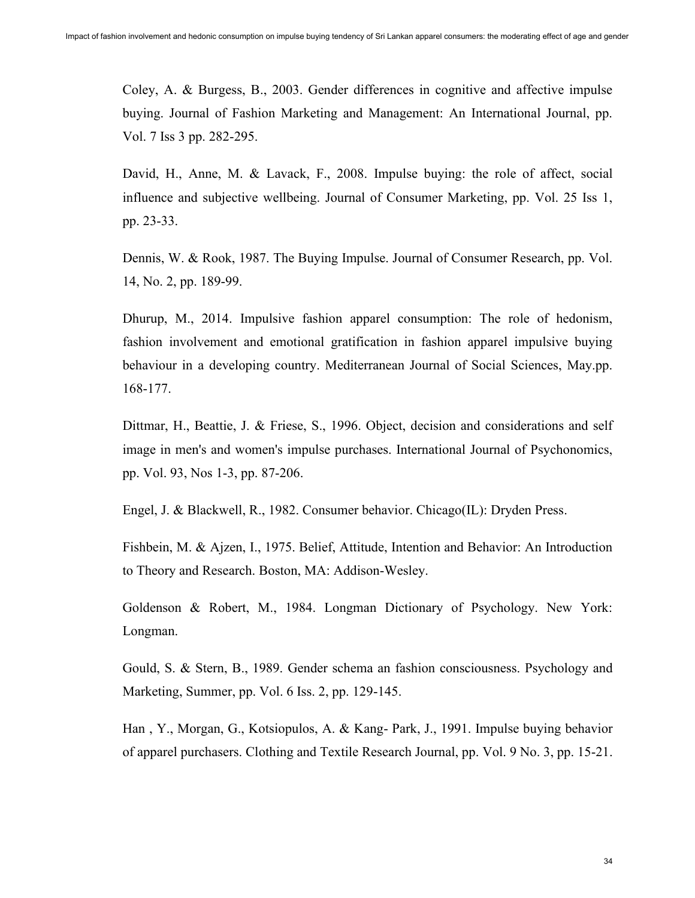Coley, A. & Burgess, B., 2003. Gender differences in cognitive and affective impulse buying. Journal of Fashion Marketing and Management: An International Journal, pp. Vol. 7 Iss 3 pp. 282-295.

David, H., Anne, M. & Lavack, F., 2008. Impulse buying: the role of affect, social influence and subjective wellbeing. Journal of Consumer Marketing, pp. Vol. 25 Iss 1, pp. 23-33.

Dennis, W. & Rook, 1987. The Buying Impulse. Journal of Consumer Research, pp. Vol. 14, No. 2, pp. 189-99.

Dhurup, M., 2014. Impulsive fashion apparel consumption: The role of hedonism, fashion involvement and emotional gratification in fashion apparel impulsive buying behaviour in a developing country. Mediterranean Journal of Social Sciences, May.pp. 168-177.

Dittmar, H., Beattie, J. & Friese, S., 1996. Object, decision and considerations and self image in men's and women's impulse purchases. International Journal of Psychonomics, pp. Vol. 93, Nos 1-3, pp. 87-206.

Engel, J. & Blackwell, R., 1982. Consumer behavior. Chicago(IL): Dryden Press.

Fishbein, M. & Ajzen, I., 1975. Belief, Attitude, Intention and Behavior: An Introduction to Theory and Research. Boston, MA: Addison-Wesley.

Goldenson & Robert, M., 1984. Longman Dictionary of Psychology. New York: Longman.

Gould, S. & Stern, B., 1989. Gender schema an fashion consciousness. Psychology and Marketing, Summer, pp. Vol. 6 Iss. 2, pp. 129-145.

Han , Y., Morgan, G., Kotsiopulos, A. & Kang- Park, J., 1991. Impulse buying behavior of apparel purchasers. Clothing and Textile Research Journal, pp. Vol. 9 No. 3, pp. 15-21.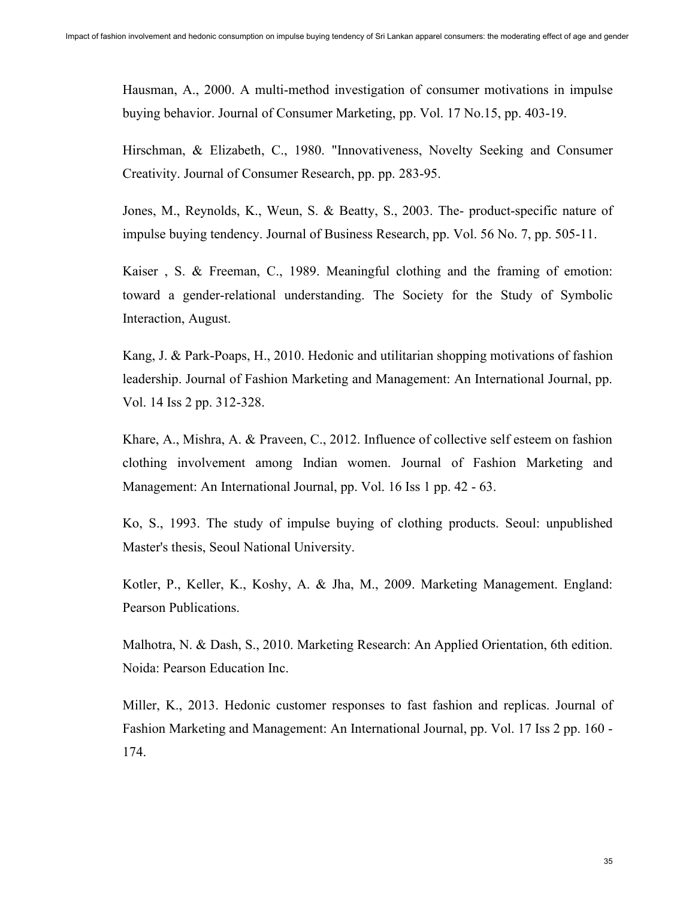Hausman, A., 2000. A multi-method investigation of consumer motivations in impulse buying behavior. Journal of Consumer Marketing, pp. Vol. 17 No.15, pp. 403-19.

Hirschman, & Elizabeth, C., 1980. "Innovativeness, Novelty Seeking and Consumer Creativity. Journal of Consumer Research, pp. pp. 283-95.

Jones, M., Reynolds, K., Weun, S. & Beatty, S., 2003. The- product-specific nature of impulse buying tendency. Journal of Business Research, pp. Vol. 56 No. 7, pp. 505-11.

Kaiser , S. & Freeman, C., 1989. Meaningful clothing and the framing of emotion: toward a gender-relational understanding. The Society for the Study of Symbolic Interaction, August.

Kang, J. & Park-Poaps, H., 2010. Hedonic and utilitarian shopping motivations of fashion leadership. Journal of Fashion Marketing and Management: An International Journal, pp. Vol. 14 Iss 2 pp. 312-328.

Khare, A., Mishra, A. & Praveen, C., 2012. Influence of collective self esteem on fashion clothing involvement among Indian women. Journal of Fashion Marketing and Management: An International Journal, pp. Vol. 16 Iss 1 pp. 42 - 63.

Ko, S., 1993. The study of impulse buying of clothing products. Seoul: unpublished Master's thesis, Seoul National University.

Kotler, P., Keller, K., Koshy, A. & Jha, M., 2009. Marketing Management. England: Pearson Publications.

Malhotra, N. & Dash, S., 2010. Marketing Research: An Applied Orientation, 6th edition. Noida: Pearson Education Inc.

Miller, K., 2013. Hedonic customer responses to fast fashion and replicas. Journal of Fashion Marketing and Management: An International Journal, pp. Vol. 17 Iss 2 pp. 160 - 174.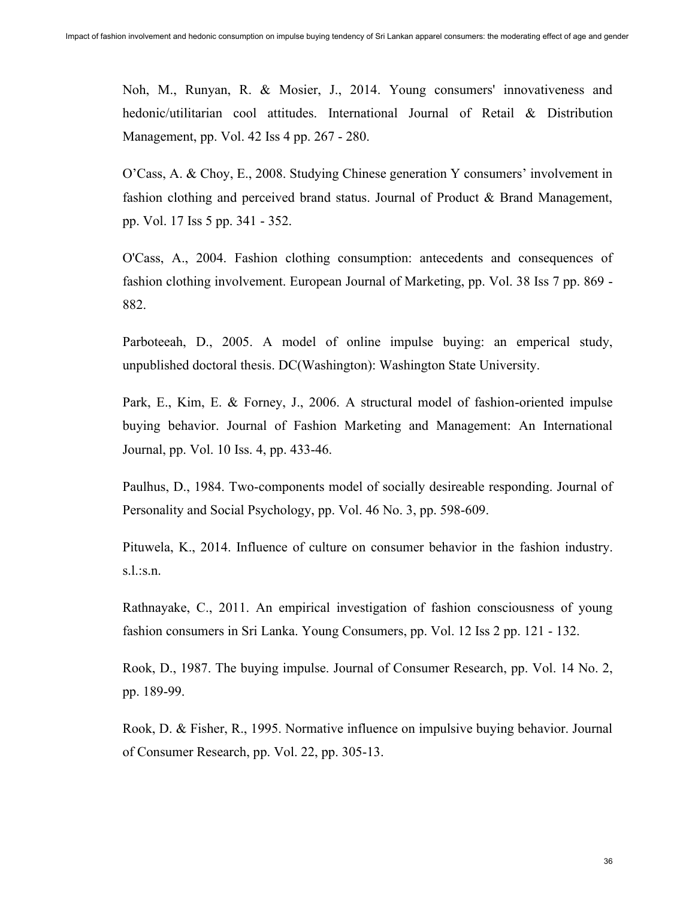Noh, M., Runyan, R. & Mosier, J., 2014. Young consumers' innovativeness and hedonic/utilitarian cool attitudes. International Journal of Retail & Distribution Management, pp. Vol. 42 Iss 4 pp. 267 - 280.

O'Cass, A. & Choy, E., 2008. Studying Chinese generation Y consumers' involvement in fashion clothing and perceived brand status. Journal of Product & Brand Management, pp. Vol. 17 Iss 5 pp. 341 - 352.

O'Cass, A., 2004. Fashion clothing consumption: antecedents and consequences of fashion clothing involvement. European Journal of Marketing, pp. Vol. 38 Iss 7 pp. 869 - 882.

Parboteeah, D., 2005. A model of online impulse buying: an emperical study, unpublished doctoral thesis. DC(Washington): Washington State University.

Park, E., Kim, E. & Forney, J., 2006. A structural model of fashion-oriented impulse buying behavior. Journal of Fashion Marketing and Management: An International Journal, pp. Vol. 10 Iss. 4, pp. 433-46.

Paulhus, D., 1984. Two-components model of socially desireable responding. Journal of Personality and Social Psychology, pp. Vol. 46 No. 3, pp. 598-609.

Pituwela, K., 2014. Influence of culture on consumer behavior in the fashion industry. s.l.:s.n.

Rathnayake, C., 2011. An empirical investigation of fashion consciousness of young fashion consumers in Sri Lanka. Young Consumers, pp. Vol. 12 Iss 2 pp. 121 - 132.

Rook, D., 1987. The buying impulse. Journal of Consumer Research, pp. Vol. 14 No. 2, pp. 189-99.

Rook, D. & Fisher, R., 1995. Normative influence on impulsive buying behavior. Journal of Consumer Research, pp. Vol. 22, pp. 305-13.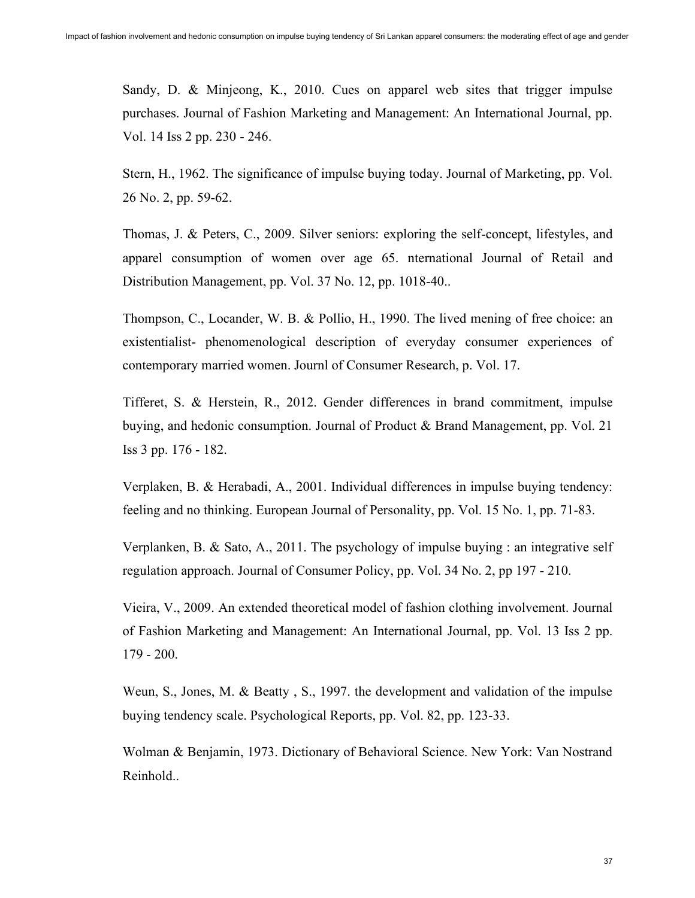Sandy, D. & Minjeong, K., 2010. Cues on apparel web sites that trigger impulse purchases. Journal of Fashion Marketing and Management: An International Journal, pp. Vol. 14 Iss 2 pp. 230 - 246.

Stern, H., 1962. The significance of impulse buying today. Journal of Marketing, pp. Vol. 26 No. 2, pp. 59-62.

Thomas, J. & Peters, C., 2009. Silver seniors: exploring the self-concept, lifestyles, and apparel consumption of women over age 65. nternational Journal of Retail and Distribution Management, pp. Vol. 37 No. 12, pp. 1018-40..

Thompson, C., Locander, W. B. & Pollio, H., 1990. The lived mening of free choice: an existentialist- phenomenological description of everyday consumer experiences of contemporary married women. Journl of Consumer Research, p. Vol. 17.

Tifferet, S. & Herstein, R., 2012. Gender differences in brand commitment, impulse buying, and hedonic consumption. Journal of Product & Brand Management, pp. Vol. 21 Iss 3 pp. 176 - 182.

Verplaken, B. & Herabadi, A., 2001. Individual differences in impulse buying tendency: feeling and no thinking. European Journal of Personality, pp. Vol. 15 No. 1, pp. 71-83.

Verplanken, B. & Sato, A., 2011. The psychology of impulse buying : an integrative self regulation approach. Journal of Consumer Policy, pp. Vol. 34 No. 2, pp 197 - 210.

Vieira, V., 2009. An extended theoretical model of fashion clothing involvement. Journal of Fashion Marketing and Management: An International Journal, pp. Vol. 13 Iss 2 pp. 179 - 200.

Weun, S., Jones, M. & Beatty , S., 1997. the development and validation of the impulse buying tendency scale. Psychological Reports, pp. Vol. 82, pp. 123-33.

Wolman & Benjamin, 1973. Dictionary of Behavioral Science. New York: Van Nostrand Reinhold..